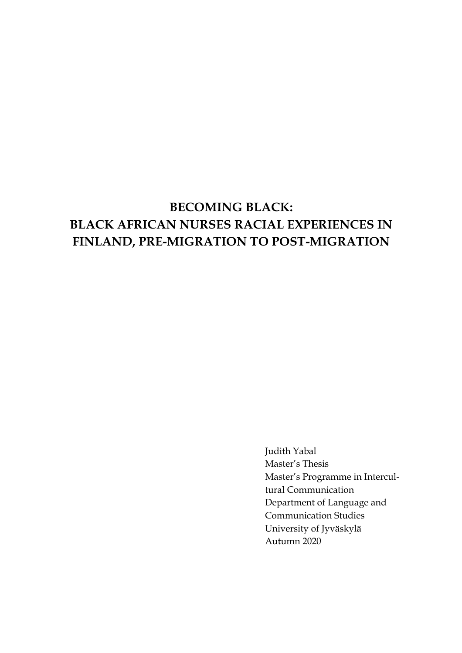# **BECOMING BLACK: BLACK AFRICAN NURSES RACIAL EXPERIENCES IN FINLAND, PRE-MIGRATION TO POST-MIGRATION**

Judith Yabal Master's Thesis Master's Programme in Intercultural Communication Department of Language and Communication Studies University of Jyväskylä Autumn 2020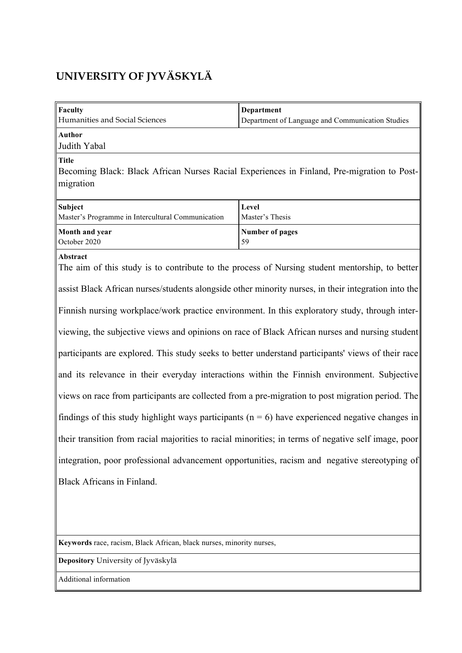# **UNIVERSITY OF JYVÄSKYLÄ**

| Faculty                                                                                                                 | Department                                       |  |  |  |  |
|-------------------------------------------------------------------------------------------------------------------------|--------------------------------------------------|--|--|--|--|
| Humanities and Social Sciences                                                                                          | Department of Language and Communication Studies |  |  |  |  |
| <b>Author</b><br>Judith Yabal                                                                                           |                                                  |  |  |  |  |
| <b>Title</b><br>Becoming Black: Black African Nurses Racial Experiences in Finland, Pre-migration to Post-<br>migration |                                                  |  |  |  |  |
| <b>Subject</b><br>Master's Programme in Intercultural Communication                                                     | Level<br>Master's Thesis                         |  |  |  |  |
| Month and year<br>October 2020                                                                                          | <b>Number of pages</b><br>59                     |  |  |  |  |
| Abstract<br>The aim of this study is to contribute to the process of Nursing student mentorship, to better              |                                                  |  |  |  |  |
| assist Black African nurses/students alongside other minority nurses, in their integration into the                     |                                                  |  |  |  |  |
| Finnish nursing workplace/work practice environment. In this exploratory study, through inter-                          |                                                  |  |  |  |  |
| viewing, the subjective views and opinions on race of Black African nurses and nursing student                          |                                                  |  |  |  |  |
| participants are explored. This study seeks to better understand participants' views of their race                      |                                                  |  |  |  |  |
| and its relevance in their everyday interactions within the Finnish environment. Subjective                             |                                                  |  |  |  |  |
| views on race from participants are collected from a pre-migration to post migration period. The                        |                                                  |  |  |  |  |
| findings of this study highlight ways participants ( $n = 6$ ) have experienced negative changes in                     |                                                  |  |  |  |  |
| their transition from racial majorities to racial minorities; in terms of negative self image, poor                     |                                                  |  |  |  |  |
| integration, poor professional advancement opportunities, racism and negative stereotyping of                           |                                                  |  |  |  |  |
| Black Africans in Finland.                                                                                              |                                                  |  |  |  |  |
|                                                                                                                         |                                                  |  |  |  |  |
|                                                                                                                         |                                                  |  |  |  |  |

**Keywords** race, racism, Black African, black nurses, minority nurses,

**Depository** University of Jyväskylä

Additional information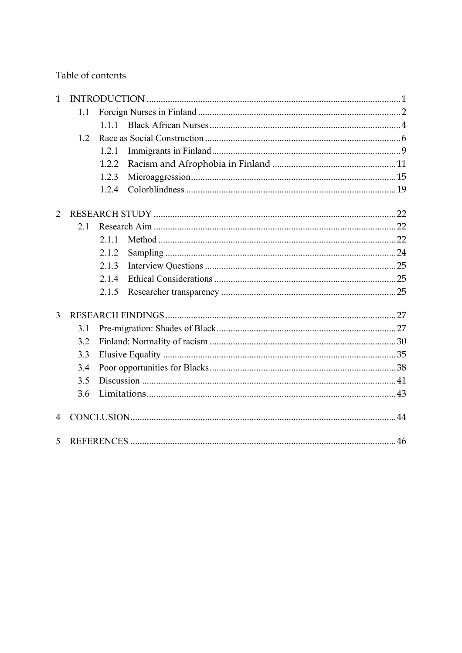Table of contents

| $\mathbf{1}$ |     |       |  |  |  |
|--------------|-----|-------|--|--|--|
|              | 1.1 |       |  |  |  |
|              |     | 1.1.1 |  |  |  |
|              | 1.2 |       |  |  |  |
|              |     | 1.2.1 |  |  |  |
|              |     | 1.2.2 |  |  |  |
|              |     | 1.2.3 |  |  |  |
|              |     | 1.2.4 |  |  |  |
| 2            |     |       |  |  |  |
|              | 2.1 |       |  |  |  |
|              |     | 2.11  |  |  |  |
|              |     | 2.1.2 |  |  |  |
|              |     | 2.1.3 |  |  |  |
|              |     | 2.1.4 |  |  |  |
|              |     | 2.1.5 |  |  |  |
| 3            |     |       |  |  |  |
|              | 3.1 |       |  |  |  |
|              | 3.2 |       |  |  |  |
|              | 3.3 |       |  |  |  |
|              | 3.4 |       |  |  |  |
|              | 3.5 |       |  |  |  |
|              | 3.6 |       |  |  |  |
| 4            |     |       |  |  |  |
| 5            |     |       |  |  |  |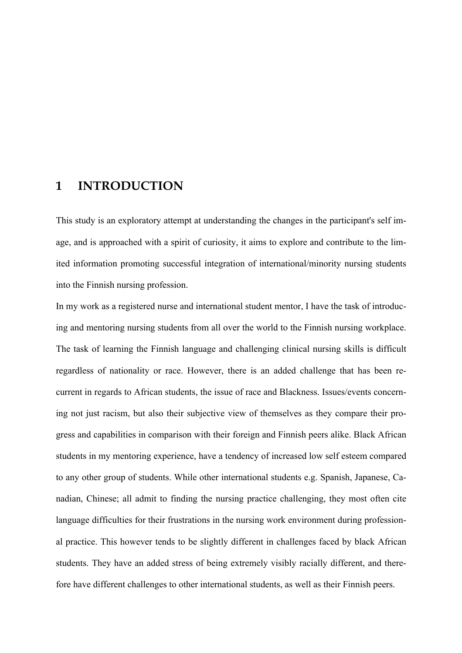## **1 INTRODUCTION**

This study is an exploratory attempt at understanding the changes in the participant's self image, and is approached with a spirit of curiosity, it aims to explore and contribute to the limited information promoting successful integration of international/minority nursing students into the Finnish nursing profession.

In my work as a registered nurse and international student mentor, I have the task of introducing and mentoring nursing students from all over the world to the Finnish nursing workplace. The task of learning the Finnish language and challenging clinical nursing skills is difficult regardless of nationality or race. However, there is an added challenge that has been recurrent in regards to African students, the issue of race and Blackness. Issues/events concerning not just racism, but also their subjective view of themselves as they compare their progress and capabilities in comparison with their foreign and Finnish peers alike. Black African students in my mentoring experience, have a tendency of increased low self esteem compared to any other group of students. While other international students e.g. Spanish, Japanese, Canadian, Chinese; all admit to finding the nursing practice challenging, they most often cite language difficulties for their frustrations in the nursing work environment during professional practice. This however tends to be slightly different in challenges faced by black African students. They have an added stress of being extremely visibly racially different, and therefore have different challenges to other international students, as well as their Finnish peers.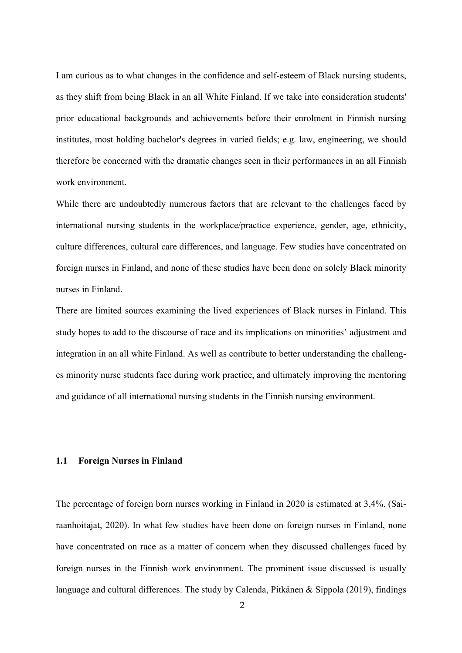I am curious as to what changes in the confidence and self-esteem of Black nursing students, as they shift from being Black in an all White Finland. If we take into consideration students' prior educational backgrounds and achievements before their enrolment in Finnish nursing institutes, most holding bachelor's degrees in varied fields; e.g. law, engineering, we should therefore be concerned with the dramatic changes seen in their performances in an all Finnish work environment.

While there are undoubtedly numerous factors that are relevant to the challenges faced by international nursing students in the workplace/practice experience, gender, age, ethnicity, culture differences, cultural care differences, and language. Few studies have concentrated on foreign nurses in Finland, and none of these studies have been done on solely Black minority nurses in Finland.

There are limited sources examining the lived experiences of Black nurses in Finland. This study hopes to add to the discourse of race and its implications on minorities' adjustment and integration in an all white Finland. As well as contribute to better understanding the challenges minority nurse students face during work practice, and ultimately improving the mentoring and guidance of all international nursing students in the Finnish nursing environment.

## **1.1 Foreign Nurses in Finland**

The percentage of foreign born nurses working in Finland in 2020 is estimated at 3,4%. (Sairaanhoitajat, 2020). In what few studies have been done on foreign nurses in Finland, none have concentrated on race as a matter of concern when they discussed challenges faced by foreign nurses in the Finnish work environment. The prominent issue discussed is usually language and cultural differences. The study by Calenda, Pitkänen & Sippola (2019), findings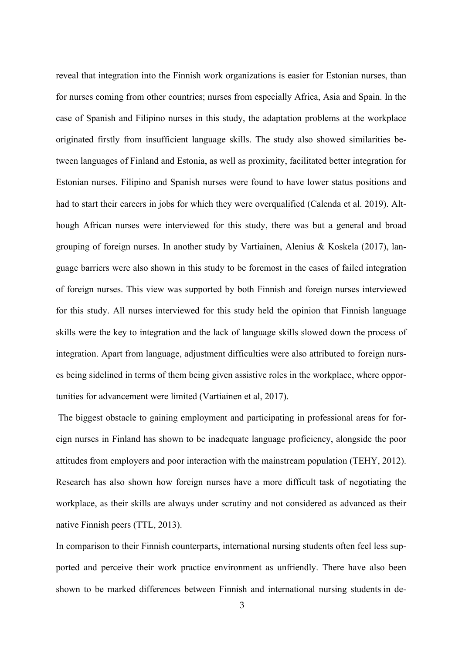reveal that integration into the Finnish work organizations is easier for Estonian nurses, than for nurses coming from other countries; nurses from especially Africa, Asia and Spain. In the case of Spanish and Filipino nurses in this study, the adaptation problems at the workplace originated firstly from insufficient language skills. The study also showed similarities between languages of Finland and Estonia, as well as proximity, facilitated better integration for Estonian nurses. Filipino and Spanish nurses were found to have lower status positions and had to start their careers in jobs for which they were overqualified (Calenda et al. 2019). Although African nurses were interviewed for this study, there was but a general and broad grouping of foreign nurses. In another study by Vartiainen, Alenius & Koskela (2017), language barriers were also shown in this study to be foremost in the cases of failed integration of foreign nurses. This view was supported by both Finnish and foreign nurses interviewed for this study. All nurses interviewed for this study held the opinion that Finnish language skills were the key to integration and the lack of language skills slowed down the process of integration. Apart from language, adjustment difficulties were also attributed to foreign nurses being sidelined in terms of them being given assistive roles in the workplace, where opportunities for advancement were limited (Vartiainen et al, 2017).

The biggest obstacle to gaining employment and participating in professional areas for foreign nurses in Finland has shown to be inadequate language proficiency, alongside the poor attitudes from employers and poor interaction with the mainstream population (TEHY, 2012). Research has also shown how foreign nurses have a more difficult task of negotiating the workplace, as their skills are always under scrutiny and not considered as advanced as their native Finnish peers (TTL, 2013).

In comparison to their Finnish counterparts, international nursing students often feel less supported and perceive their work practice environment as unfriendly. There have also been shown to be marked differences between Finnish and international nursing students in de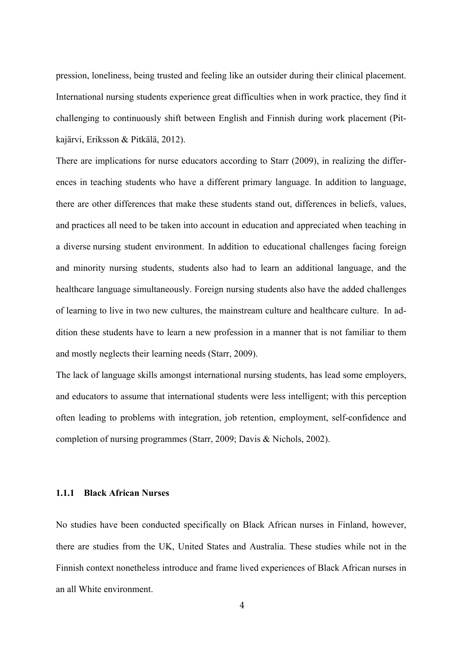pression, loneliness, being trusted and feeling like an outsider during their clinical placement. International nursing students experience great difficulties when in work practice, they find it challenging to continuously shift between English and Finnish during work placement (Pitkajärvi, Eriksson & Pitkälä, 2012).

There are implications for nurse educators according to Starr (2009), in realizing the differences in teaching students who have a different primary language. In addition to language, there are other differences that make these students stand out, differences in beliefs, values, and practices all need to be taken into account in education and appreciated when teaching in a diverse nursing student environment. In addition to educational challenges facing foreign and minority nursing students, students also had to learn an additional language, and the healthcare language simultaneously. Foreign nursing students also have the added challenges of learning to live in two new cultures, the mainstream culture and healthcare culture. In addition these students have to learn a new profession in a manner that is not familiar to them and mostly neglects their learning needs (Starr, 2009).

The lack of language skills amongst international nursing students, has lead some employers, and educators to assume that international students were less intelligent; with this perception often leading to problems with integration, job retention, employment, self-confidence and completion of nursing programmes (Starr, 2009; Davis & Nichols, 2002).

## **1.1.1 Black African Nurses**

No studies have been conducted specifically on Black African nurses in Finland, however, there are studies from the UK, United States and Australia. These studies while not in the Finnish context nonetheless introduce and frame lived experiences of Black African nurses in an all White environment.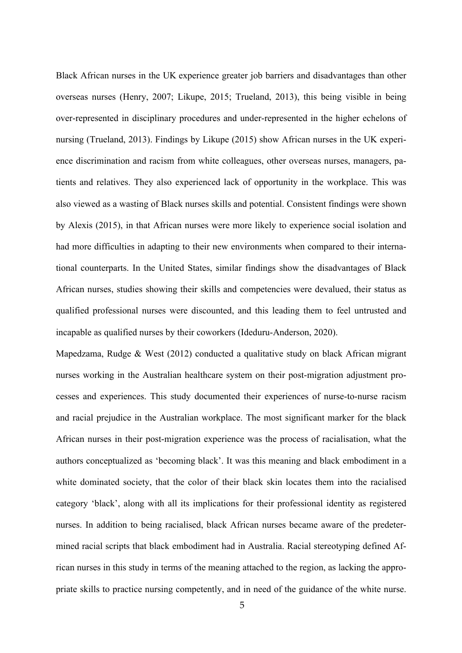Black African nurses in the UK experience greater job barriers and disadvantages than other overseas nurses (Henry, 2007; Likupe, 2015; Trueland, 2013), this being visible in being over-represented in disciplinary procedures and under-represented in the higher echelons of nursing (Trueland, 2013). Findings by Likupe (2015) show African nurses in the UK experience discrimination and racism from white colleagues, other overseas nurses, managers, patients and relatives. They also experienced lack of opportunity in the workplace. This was also viewed as a wasting of Black nurses skills and potential. Consistent findings were shown by Alexis (2015), in that African nurses were more likely to experience social isolation and had more difficulties in adapting to their new environments when compared to their international counterparts. In the United States, similar findings show the disadvantages of Black African nurses, studies showing their skills and competencies were devalued, their status as qualified professional nurses were discounted, and this leading them to feel untrusted and incapable as qualified nurses by their coworkers (Ideduru-Anderson, 2020).

Mapedzama, Rudge & West (2012) conducted a qualitative study on black African migrant nurses working in the Australian healthcare system on their post-migration adjustment processes and experiences. This study documented their experiences of nurse-to-nurse racism and racial prejudice in the Australian workplace. The most significant marker for the black African nurses in their post-migration experience was the process of racialisation, what the authors conceptualized as 'becoming black'. It was this meaning and black embodiment in a white dominated society, that the color of their black skin locates them into the racialised category 'black', along with all its implications for their professional identity as registered nurses. In addition to being racialised, black African nurses became aware of the predetermined racial scripts that black embodiment had in Australia. Racial stereotyping defined African nurses in this study in terms of the meaning attached to the region, as lacking the appropriate skills to practice nursing competently, and in need of the guidance of the white nurse.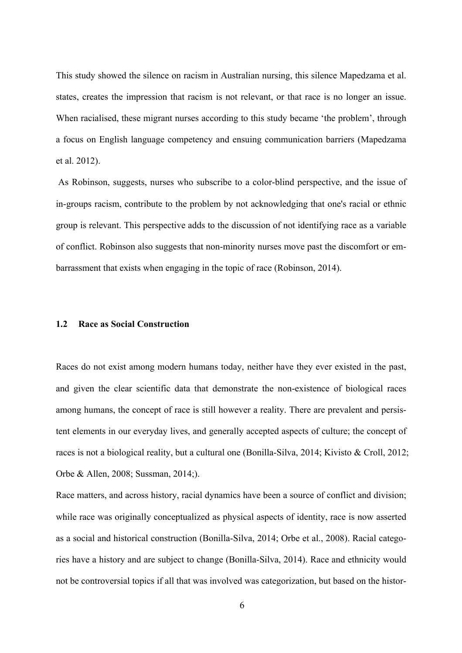This study showed the silence on racism in Australian nursing, this silence Mapedzama et al. states, creates the impression that racism is not relevant, or that race is no longer an issue. When racialised, these migrant nurses according to this study became 'the problem', through a focus on English language competency and ensuing communication barriers (Mapedzama et al. 2012).

As Robinson, suggests, nurses who subscribe to a color-blind perspective, and the issue of in-groups racism, contribute to the problem by not acknowledging that one's racial or ethnic group is relevant. This perspective adds to the discussion of not identifying race as a variable of conflict. Robinson also suggests that non-minority nurses move past the discomfort or embarrassment that exists when engaging in the topic of race (Robinson, 2014).

#### **1.2 Race as Social Construction**

Races do not exist among modern humans today, neither have they ever existed in the past, and given the clear scientific data that demonstrate the non-existence of biological races among humans, the concept of race is still however a reality. There are prevalent and persistent elements in our everyday lives, and generally accepted aspects of culture; the concept of races is not a biological reality, but a cultural one (Bonilla-Silva, 2014; Kivisto & Croll, 2012; Orbe & Allen, 2008; Sussman, 2014;).

Race matters, and across history, racial dynamics have been a source of conflict and division; while race was originally conceptualized as physical aspects of identity, race is now asserted as a social and historical construction (Bonilla-Silva, 2014; Orbe et al., 2008). Racial categories have a history and are subject to change (Bonilla-Silva, 2014). Race and ethnicity would not be controversial topics if all that was involved was categorization, but based on the histor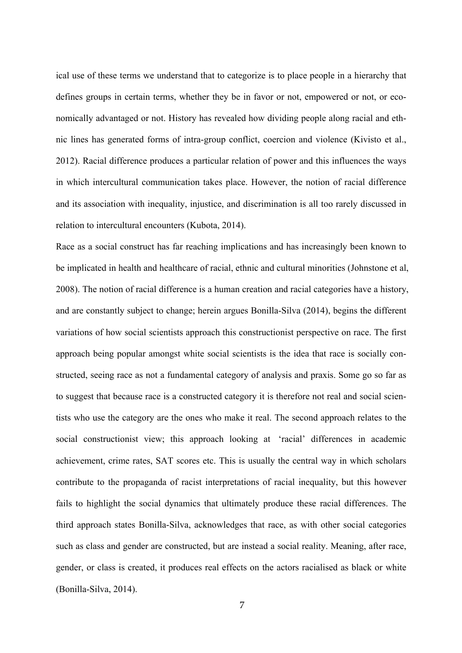ical use of these terms we understand that to categorize is to place people in a hierarchy that defines groups in certain terms, whether they be in favor or not, empowered or not, or economically advantaged or not. History has revealed how dividing people along racial and ethnic lines has generated forms of intra-group conflict, coercion and violence (Kivisto et al., 2012). Racial difference produces a particular relation of power and this influences the ways in which intercultural communication takes place. However, the notion of racial difference and its association with inequality, injustice, and discrimination is all too rarely discussed in relation to intercultural encounters (Kubota, 2014).

Race as a social construct has far reaching implications and has increasingly been known to be implicated in health and healthcare of racial, ethnic and cultural minorities (Johnstone et al, 2008). The notion of racial difference is a human creation and racial categories have a history, and are constantly subject to change; herein argues Bonilla-Silva (2014), begins the different variations of how social scientists approach this constructionist perspective on race. The first approach being popular amongst white social scientists is the idea that race is socially constructed, seeing race as not a fundamental category of analysis and praxis. Some go so far as to suggest that because race is a constructed category it is therefore not real and social scientists who use the category are the ones who make it real. The second approach relates to the social constructionist view; this approach looking at 'racial' differences in academic achievement, crime rates, SAT scores etc. This is usually the central way in which scholars contribute to the propaganda of racist interpretations of racial inequality, but this however fails to highlight the social dynamics that ultimately produce these racial differences. The third approach states Bonilla-Silva, acknowledges that race, as with other social categories such as class and gender are constructed, but are instead a social reality. Meaning, after race, gender, or class is created, it produces real effects on the actors racialised as black or white (Bonilla-Silva, 2014).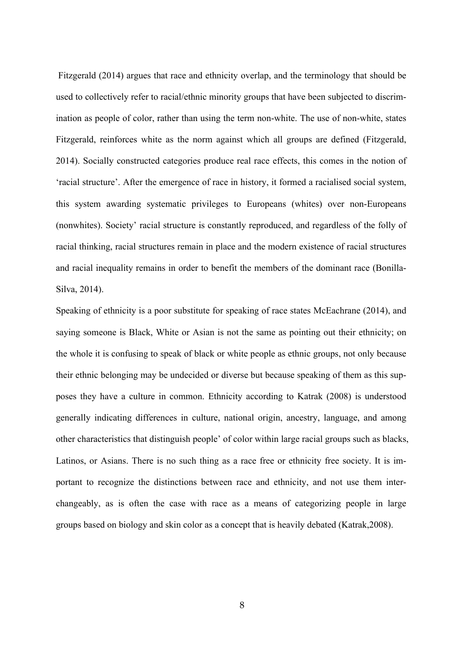Fitzgerald (2014) argues that race and ethnicity overlap, and the terminology that should be used to collectively refer to racial/ethnic minority groups that have been subjected to discrimination as people of color, rather than using the term non-white. The use of non-white, states Fitzgerald, reinforces white as the norm against which all groups are defined (Fitzgerald, 2014). Socially constructed categories produce real race effects, this comes in the notion of 'racial structure'. After the emergence of race in history, it formed a racialised social system, this system awarding systematic privileges to Europeans (whites) over non-Europeans (nonwhites). Society' racial structure is constantly reproduced, and regardless of the folly of racial thinking, racial structures remain in place and the modern existence of racial structures and racial inequality remains in order to benefit the members of the dominant race (Bonilla-Silva, 2014).

Speaking of ethnicity is a poor substitute for speaking of race states McEachrane (2014), and saying someone is Black, White or Asian is not the same as pointing out their ethnicity; on the whole it is confusing to speak of black or white people as ethnic groups, not only because their ethnic belonging may be undecided or diverse but because speaking of them as this supposes they have a culture in common. Ethnicity according to Katrak (2008) is understood generally indicating differences in culture, national origin, ancestry, language, and among other characteristics that distinguish people' of color within large racial groups such as blacks, Latinos, or Asians. There is no such thing as a race free or ethnicity free society. It is important to recognize the distinctions between race and ethnicity, and not use them interchangeably, as is often the case with race as a means of categorizing people in large groups based on biology and skin color as a concept that is heavily debated (Katrak,2008).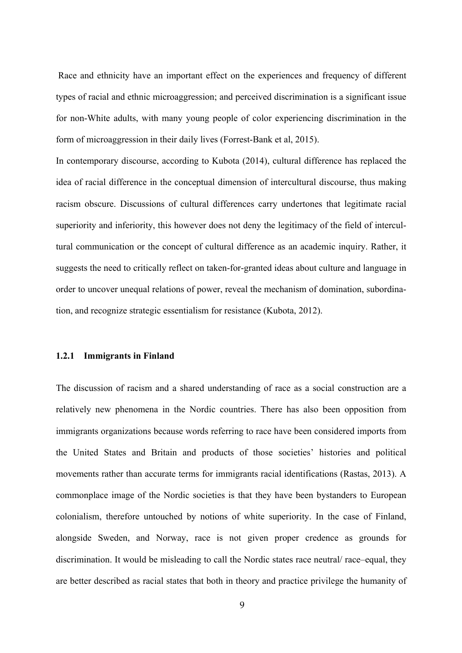Race and ethnicity have an important effect on the experiences and frequency of different types of racial and ethnic microaggression; and perceived discrimination is a significant issue for non-White adults, with many young people of color experiencing discrimination in the form of microaggression in their daily lives (Forrest-Bank et al, 2015).

In contemporary discourse, according to Kubota (2014), cultural difference has replaced the idea of racial difference in the conceptual dimension of intercultural discourse, thus making racism obscure. Discussions of cultural differences carry undertones that legitimate racial superiority and inferiority, this however does not deny the legitimacy of the field of intercultural communication or the concept of cultural difference as an academic inquiry. Rather, it suggests the need to critically reflect on taken-for-granted ideas about culture and language in order to uncover unequal relations of power, reveal the mechanism of domination, subordination, and recognize strategic essentialism for resistance (Kubota, 2012).

#### **1.2.1 Immigrants in Finland**

The discussion of racism and a shared understanding of race as a social construction are a relatively new phenomena in the Nordic countries. There has also been opposition from immigrants organizations because words referring to race have been considered imports from the United States and Britain and products of those societies' histories and political movements rather than accurate terms for immigrants racial identifications (Rastas, 2013). A commonplace image of the Nordic societies is that they have been bystanders to European colonialism, therefore untouched by notions of white superiority. In the case of Finland, alongside Sweden, and Norway, race is not given proper credence as grounds for discrimination. It would be misleading to call the Nordic states race neutral/ race–equal, they are better described as racial states that both in theory and practice privilege the humanity of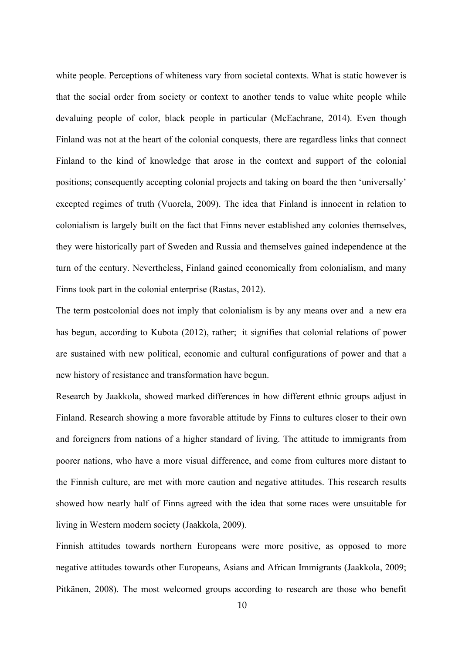white people. Perceptions of whiteness vary from societal contexts. What is static however is that the social order from society or context to another tends to value white people while devaluing people of color, black people in particular (McEachrane, 2014). Even though Finland was not at the heart of the colonial conquests, there are regardless links that connect Finland to the kind of knowledge that arose in the context and support of the colonial positions; consequently accepting colonial projects and taking on board the then 'universally' excepted regimes of truth (Vuorela, 2009). The idea that Finland is innocent in relation to colonialism is largely built on the fact that Finns never established any colonies themselves, they were historically part of Sweden and Russia and themselves gained independence at the turn of the century. Nevertheless, Finland gained economically from colonialism, and many Finns took part in the colonial enterprise (Rastas, 2012).

The term postcolonial does not imply that colonialism is by any means over and a new era has begun, according to Kubota (2012), rather; it signifies that colonial relations of power are sustained with new political, economic and cultural configurations of power and that a new history of resistance and transformation have begun.

Research by Jaakkola, showed marked differences in how different ethnic groups adjust in Finland. Research showing a more favorable attitude by Finns to cultures closer to their own and foreigners from nations of a higher standard of living. The attitude to immigrants from poorer nations, who have a more visual difference, and come from cultures more distant to the Finnish culture, are met with more caution and negative attitudes. This research results showed how nearly half of Finns agreed with the idea that some races were unsuitable for living in Western modern society (Jaakkola, 2009).

Finnish attitudes towards northern Europeans were more positive, as opposed to more negative attitudes towards other Europeans, Asians and African Immigrants (Jaakkola, 2009; Pitkänen, 2008). The most welcomed groups according to research are those who benefit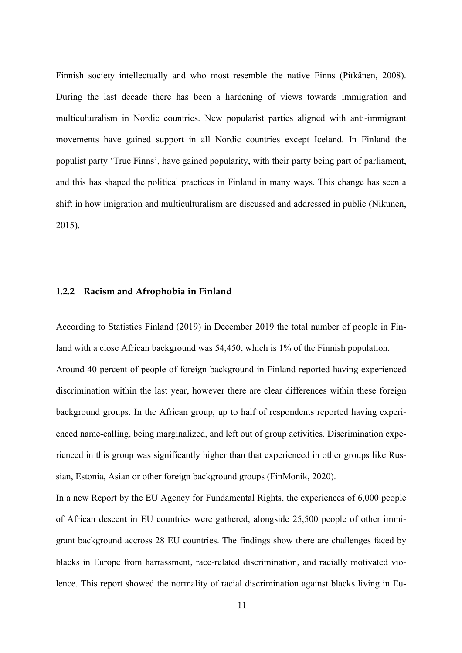Finnish society intellectually and who most resemble the native Finns (Pitkänen, 2008). During the last decade there has been a hardening of views towards immigration and multiculturalism in Nordic countries. New popularist parties aligned with anti-immigrant movements have gained support in all Nordic countries except Iceland. In Finland the populist party 'True Finns', have gained popularity, with their party being part of parliament, and this has shaped the political practices in Finland in many ways. This change has seen a shift in how imigration and multiculturalism are discussed and addressed in public (Nikunen, 2015).

#### **1.2.2 Racism and Afrophobia in Finland**

According to Statistics Finland (2019) in December 2019 the total number of people in Finland with a close African background was 54,450, which is 1% of the Finnish population. Around 40 percent of people of foreign background in Finland reported having experienced discrimination within the last year, however there are clear differences within these foreign background groups. In the African group, up to half of respondents reported having experienced name-calling, being marginalized, and left out of group activities. Discrimination experienced in this group was significantly higher than that experienced in other groups like Russian, Estonia, Asian or other foreign background groups (FinMonik, 2020).

In a new Report by the EU Agency for Fundamental Rights, the experiences of 6,000 people of African descent in EU countries were gathered, alongside 25,500 people of other immigrant background accross 28 EU countries. The findings show there are challenges faced by blacks in Europe from harrassment, race-related discrimination, and racially motivated violence. This report showed the normality of racial discrimination against blacks living in Eu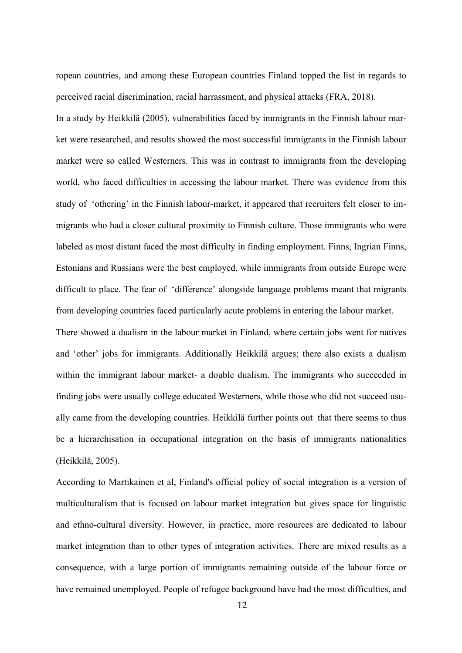ropean countries, and among these European countries Finland topped the list in regards to perceived racial discrimination, racial harrassment, and physical attacks (FRA, 2018). In a study by Heikkilä (2005), vulnerabilities faced by immigrants in the Finnish labour market were researched, and results showed the most successful immigrants in the Finnish labour market were so called Westerners. This was in contrast to immigrants from the developing world, who faced difficulties in accessing the labour market. There was evidence from this study of 'othering' in the Finnish labour-market, it appeared that recruiters felt closer to immigrants who had a closer cultural proximity to Finnish culture. Those immigrants who were labeled as most distant faced the most difficulty in finding employment. Finns, Ingrian Finns, Estonians and Russians were the best employed, while immigrants from outside Europe were difficult to place. The fear of 'difference' alongside language problems meant that migrants from developing countries faced particularly acute problems in entering the labour market. There showed a dualism in the labour market in Finland, where certain jobs went for natives and 'other' jobs for immigrants. Additionally Heikkilä argues; there also exists a dualism within the immigrant labour market- a double dualism. The immigrants who succeeded in finding jobs were usually college educated Westerners, while those who did not succeed usu-

ally came from the developing countries. Heikkilä further points out that there seems to thus be a hierarchisation in occupational integration on the basis of immigrants nationalities (Heikkilä, 2005).

According to Martikainen et al, Finland's official policy of social integration is a version of multiculturalism that is focused on labour market integration but gives space for linguistic and ethno-cultural diversity. However, in practice, more resources are dedicated to labour market integration than to other types of integration activities. There are mixed results as a consequence, with a large portion of immigrants remaining outside of the labour force or have remained unemployed. People of refugee background have had the most difficulties, and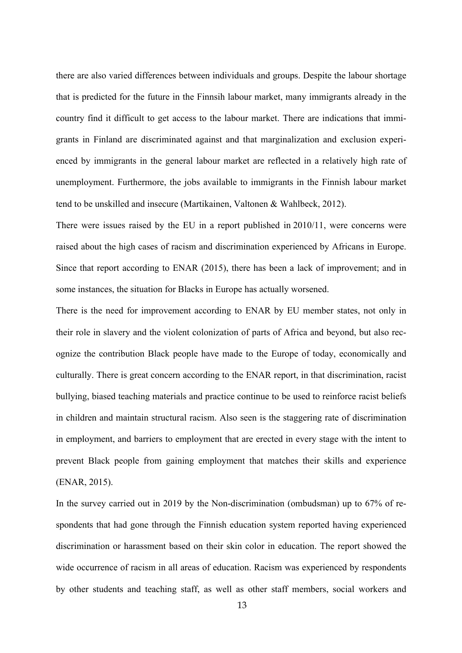there are also varied differences between individuals and groups. Despite the labour shortage that is predicted for the future in the Finnsih labour market, many immigrants already in the country find it difficult to get access to the labour market. There are indications that immigrants in Finland are discriminated against and that marginalization and exclusion experienced by immigrants in the general labour market are reflected in a relatively high rate of unemployment. Furthermore, the jobs available to immigrants in the Finnish labour market tend to be unskilled and insecure (Martikainen, Valtonen & Wahlbeck, 2012).

There were issues raised by the EU in a report published in 2010/11, were concerns were raised about the high cases of racism and discrimination experienced by Africans in Europe. Since that report according to ENAR (2015), there has been a lack of improvement; and in some instances, the situation for Blacks in Europe has actually worsened.

There is the need for improvement according to ENAR by EU member states, not only in their role in slavery and the violent colonization of parts of Africa and beyond, but also recognize the contribution Black people have made to the Europe of today, economically and culturally. There is great concern according to the ENAR report, in that discrimination, racist bullying, biased teaching materials and practice continue to be used to reinforce racist beliefs in children and maintain structural racism. Also seen is the staggering rate of discrimination in employment, and barriers to employment that are erected in every stage with the intent to prevent Black people from gaining employment that matches their skills and experience (ENAR, 2015).

In the survey carried out in 2019 by the Non-discrimination (ombudsman) up to 67% of respondents that had gone through the Finnish education system reported having experienced discrimination or harassment based on their skin color in education. The report showed the wide occurrence of racism in all areas of education. Racism was experienced by respondents by other students and teaching staff, as well as other staff members, social workers and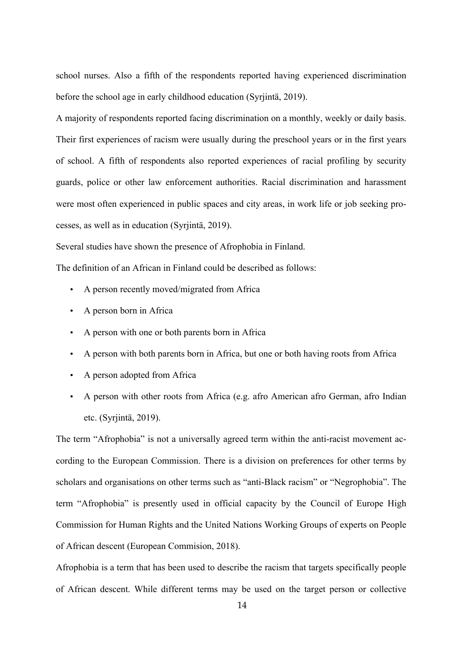school nurses. Also a fifth of the respondents reported having experienced discrimination before the school age in early childhood education (Syrjintä, 2019).

A majority of respondents reported facing discrimination on a monthly, weekly or daily basis. Their first experiences of racism were usually during the preschool years or in the first years of school. A fifth of respondents also reported experiences of racial profiling by security guards, police or other law enforcement authorities. Racial discrimination and harassment were most often experienced in public spaces and city areas, in work life or job seeking processes, as well as in education (Syrjintä, 2019).

Several studies have shown the presence of Afrophobia in Finland.

The definition of an African in Finland could be described as follows:

- A person recently moved/migrated from Africa
- A person born in Africa
- A person with one or both parents born in Africa
- A person with both parents born in Africa, but one or both having roots from Africa
- A person adopted from Africa
- A person with other roots from Africa (e.g. afro American afro German, afro Indian etc. (Syrjintä, 2019).

The term "Afrophobia" is not a universally agreed term within the anti-racist movement according to the European Commission. There is a division on preferences for other terms by scholars and organisations on other terms such as "anti-Black racism" or "Negrophobia". The term "Afrophobia" is presently used in official capacity by the Council of Europe High Commission for Human Rights and the United Nations Working Groups of experts on People of African descent (European Commision, 2018).

Afrophobia is a term that has been used to describe the racism that targets specifically people of African descent. While different terms may be used on the target person or collective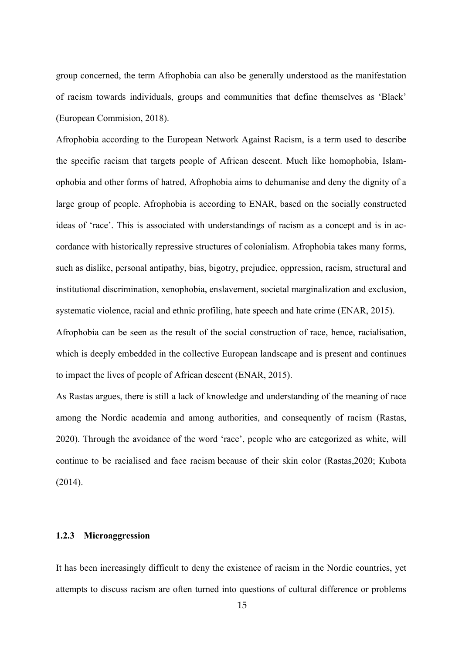group concerned, the term Afrophobia can also be generally understood as the manifestation of racism towards individuals, groups and communities that define themselves as 'Black' (European Commision, 2018).

Afrophobia according to the European Network Against Racism, is a term used to describe the specific racism that targets people of African descent. Much like homophobia, Islamophobia and other forms of hatred, Afrophobia aims to dehumanise and deny the dignity of a large group of people. Afrophobia is according to ENAR, based on the socially constructed ideas of 'race'. This is associated with understandings of racism as a concept and is in accordance with historically repressive structures of colonialism. Afrophobia takes many forms, such as dislike, personal antipathy, bias, bigotry, prejudice, oppression, racism, structural and institutional discrimination, xenophobia, enslavement, societal marginalization and exclusion, systematic violence, racial and ethnic profiling, hate speech and hate crime (ENAR, 2015). Afrophobia can be seen as the result of the social construction of race, hence, racialisation, which is deeply embedded in the collective European landscape and is present and continues to impact the lives of people of African descent (ENAR, 2015).

As Rastas argues, there is still a lack of knowledge and understanding of the meaning of race among the Nordic academia and among authorities, and consequently of racism (Rastas, 2020). Through the avoidance of the word 'race', people who are categorized as white, will continue to be racialised and face racism because of their skin color (Rastas,2020; Kubota (2014).

## **1.2.3 Microaggression**

It has been increasingly difficult to deny the existence of racism in the Nordic countries, yet attempts to discuss racism are often turned into questions of cultural difference or problems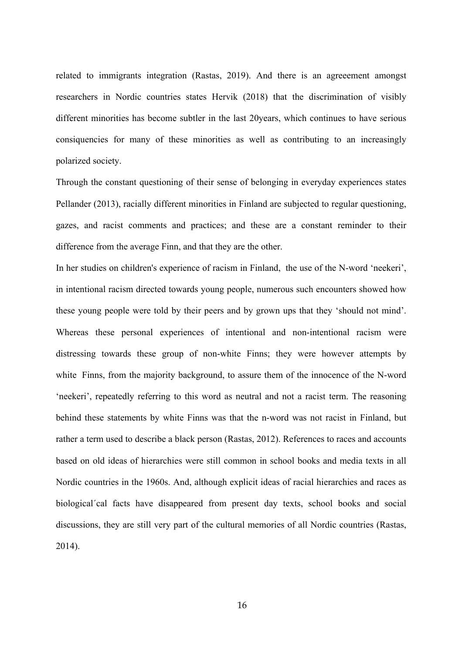related to immigrants integration (Rastas, 2019). And there is an agreeement amongst researchers in Nordic countries states Hervik (2018) that the discrimination of visibly different minorities has become subtler in the last 20years, which continues to have serious consiquencies for many of these minorities as well as contributing to an increasingly polarized society.

Through the constant questioning of their sense of belonging in everyday experiences states Pellander (2013), racially different minorities in Finland are subjected to regular questioning, gazes, and racist comments and practices; and these are a constant reminder to their difference from the average Finn, and that they are the other.

In her studies on children's experience of racism in Finland, the use of the N-word 'neekeri', in intentional racism directed towards young people, numerous such encounters showed how these young people were told by their peers and by grown ups that they 'should not mind'. Whereas these personal experiences of intentional and non-intentional racism were distressing towards these group of non-white Finns; they were however attempts by white Finns, from the majority background, to assure them of the innocence of the N-word 'neekeri', repeatedly referring to this word as neutral and not a racist term. The reasoning behind these statements by white Finns was that the n-word was not racist in Finland, but rather a term used to describe a black person (Rastas, 2012). References to races and accounts based on old ideas of hierarchies were still common in school books and media texts in all Nordic countries in the 1960s. And, although explicit ideas of racial hierarchies and races as biological´cal facts have disappeared from present day texts, school books and social discussions, they are still very part of the cultural memories of all Nordic countries (Rastas, 2014).

16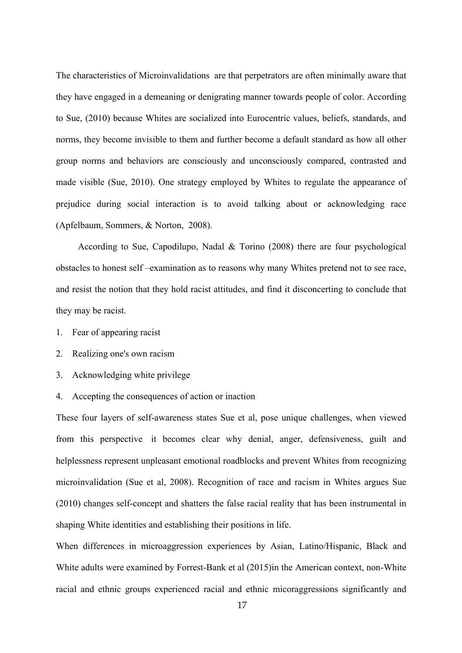The characteristics of Microinvalidations are that perpetrators are often minimally aware that they have engaged in a demeaning or denigrating manner towards people of color. According to Sue, (2010) because Whites are socialized into Eurocentric values, beliefs, standards, and norms, they become invisible to them and further become a default standard as how all other group norms and behaviors are consciously and unconsciously compared, contrasted and made visible (Sue, 2010). One strategy employed by Whites to regulate the appearance of prejudice during social interaction is to avoid talking about or acknowledging race (Apfelbaum, Sommers, & Norton, 2008).

According to Sue, Capodilupo, Nadal & Torino (2008) there are four psychological obstacles to honest self –examination as to reasons why many Whites pretend not to see race, and resist the notion that they hold racist attitudes, and find it disconcerting to conclude that they may be racist.

- 1. Fear of appearing racist
- 2. Realizing one's own racism
- 3. Acknowledging white privilege
- 4. Accepting the consequences of action or inaction

These four layers of self-awareness states Sue et al, pose unique challenges, when viewed from this perspective it becomes clear why denial, anger, defensiveness, guilt and helplessness represent unpleasant emotional roadblocks and prevent Whites from recognizing microinvalidation (Sue et al, 2008). Recognition of race and racism in Whites argues Sue (2010) changes self-concept and shatters the false racial reality that has been instrumental in shaping White identities and establishing their positions in life.

When differences in microaggression experiences by Asian, Latino/Hispanic, Black and White adults were examined by Forrest-Bank et al (2015)in the American context, non-White racial and ethnic groups experienced racial and ethnic micoraggressions significantly and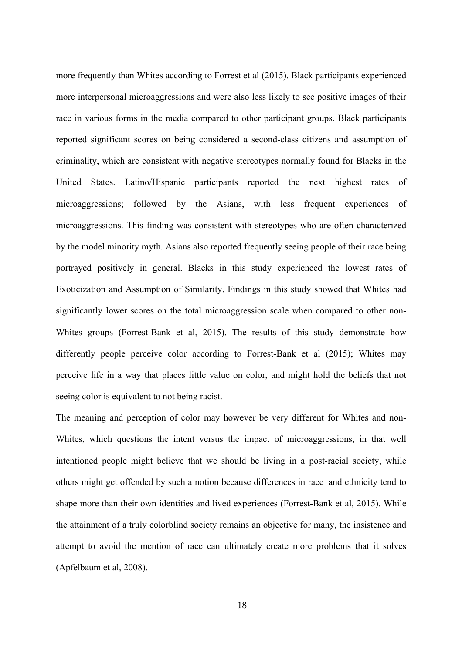more frequently than Whites according to Forrest et al (2015). Black participants experienced more interpersonal microaggressions and were also less likely to see positive images of their race in various forms in the media compared to other participant groups. Black participants reported significant scores on being considered a second-class citizens and assumption of criminality, which are consistent with negative stereotypes normally found for Blacks in the United States. Latino/Hispanic participants reported the next highest rates of microaggressions; followed by the Asians, with less frequent experiences of microaggressions. This finding was consistent with stereotypes who are often characterized by the model minority myth. Asians also reported frequently seeing people of their race being portrayed positively in general. Blacks in this study experienced the lowest rates of Exoticization and Assumption of Similarity. Findings in this study showed that Whites had significantly lower scores on the total microaggression scale when compared to other non-Whites groups (Forrest-Bank et al, 2015). The results of this study demonstrate how differently people perceive color according to Forrest-Bank et al (2015); Whites may perceive life in a way that places little value on color, and might hold the beliefs that not seeing color is equivalent to not being racist.

The meaning and perception of color may however be very different for Whites and non-Whites, which questions the intent versus the impact of microaggressions, in that well intentioned people might believe that we should be living in a post-racial society, while others might get offended by such a notion because differences in race and ethnicity tend to shape more than their own identities and lived experiences (Forrest-Bank et al, 2015). While the attainment of a truly colorblind society remains an objective for many, the insistence and attempt to avoid the mention of race can ultimately create more problems that it solves (Apfelbaum et al, 2008).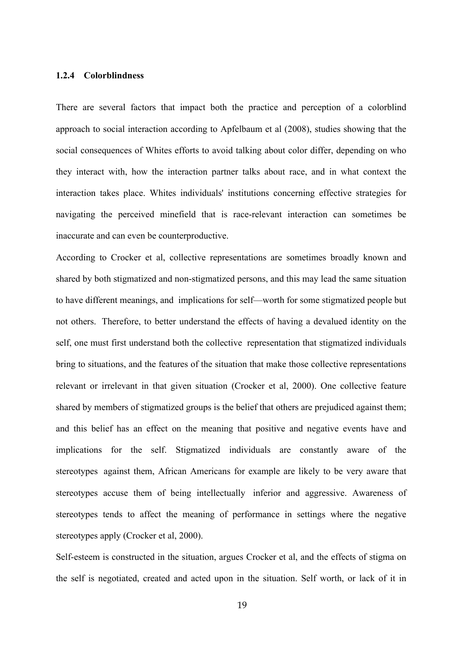## **1.2.4 Colorblindness**

There are several factors that impact both the practice and perception of a colorblind approach to social interaction according to Apfelbaum et al (2008), studies showing that the social consequences of Whites efforts to avoid talking about color differ, depending on who they interact with, how the interaction partner talks about race, and in what context the interaction takes place. Whites individuals' institutions concerning effective strategies for navigating the perceived minefield that is race-relevant interaction can sometimes be inaccurate and can even be counterproductive.

According to Crocker et al, collective representations are sometimes broadly known and shared by both stigmatized and non-stigmatized persons, and this may lead the same situation to have different meanings, and implications for self—worth for some stigmatized people but not others. Therefore, to better understand the effects of having a devalued identity on the self, one must first understand both the collective representation that stigmatized individuals bring to situations, and the features of the situation that make those collective representations relevant or irrelevant in that given situation (Crocker et al, 2000). One collective feature shared by members of stigmatized groups is the belief that others are prejudiced against them; and this belief has an effect on the meaning that positive and negative events have and implications for the self. Stigmatized individuals are constantly aware of the stereotypes against them, African Americans for example are likely to be very aware that stereotypes accuse them of being intellectually inferior and aggressive. Awareness of stereotypes tends to affect the meaning of performance in settings where the negative stereotypes apply (Crocker et al, 2000).

Self-esteem is constructed in the situation, argues Crocker et al, and the effects of stigma on the self is negotiated, created and acted upon in the situation. Self worth, or lack of it in

19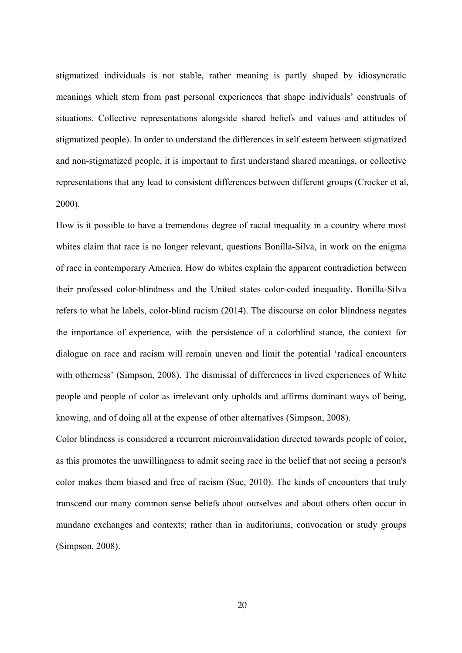stigmatized individuals is not stable, rather meaning is partly shaped by idiosyncratic meanings which stem from past personal experiences that shape individuals' construals of situations. Collective representations alongside shared beliefs and values and attitudes of stigmatized people). In order to understand the differences in self esteem between stigmatized and non-stigmatized people, it is important to first understand shared meanings, or collective representations that any lead to consistent differences between different groups (Crocker et al, 2000).

How is it possible to have a tremendous degree of racial inequality in a country where most whites claim that race is no longer relevant, questions Bonilla-Silva, in work on the enigma of race in contemporary America. How do whites explain the apparent contradiction between their professed color-blindness and the United states color-coded inequality. Bonilla-Silva refers to what he labels, color-blind racism (2014). The discourse on color blindness negates the importance of experience, with the persistence of a colorblind stance, the context for dialogue on race and racism will remain uneven and limit the potential 'radical encounters with otherness' (Simpson, 2008). The dismissal of differences in lived experiences of White people and people of color as irrelevant only upholds and affirms dominant ways of being, knowing, and of doing all at the expense of other alternatives (Simpson, 2008).

Color blindness is considered a recurrent microinvalidation directed towards people of color, as this promotes the unwillingness to admit seeing race in the belief that not seeing a person's color makes them biased and free of racism (Sue, 2010). The kinds of encounters that truly transcend our many common sense beliefs about ourselves and about others often occur in mundane exchanges and contexts; rather than in auditoriums, convocation or study groups (Simpson, 2008).

20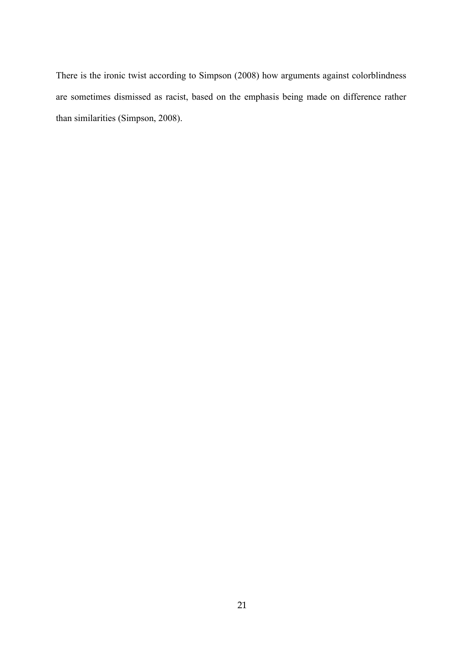There is the ironic twist according to Simpson (2008) how arguments against colorblindness are sometimes dismissed as racist, based on the emphasis being made on difference rather than similarities (Simpson, 2008).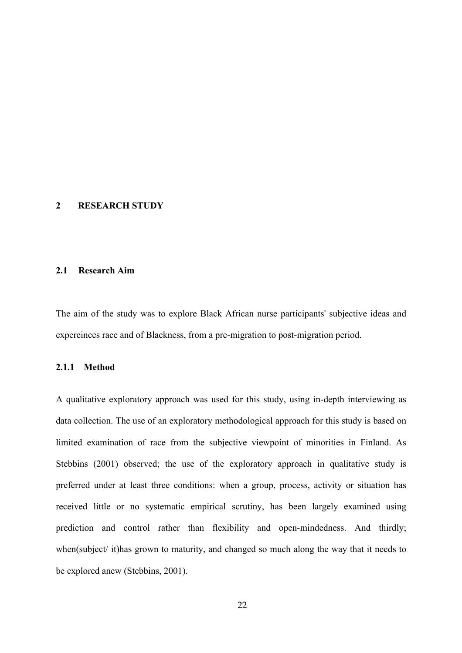#### **2 RESEARCH STUDY**

## **2.1 Research Aim**

The aim of the study was to explore Black African nurse participants' subjective ideas and expereinces race and of Blackness, from a pre-migration to post-migration period.

#### **2.1.1 Method**

A qualitative exploratory approach was used for this study, using in-depth interviewing as data collection. The use of an exploratory methodological approach for this study is based on limited examination of race from the subjective viewpoint of minorities in Finland. As Stebbins (2001) observed; the use of the exploratory approach in qualitative study is preferred under at least three conditions: when a group, process, activity or situation has received little or no systematic empirical scrutiny, has been largely examined using prediction and control rather than flexibility and open-mindedness. And thirdly; when(subject/ it)has grown to maturity, and changed so much along the way that it needs to be explored anew (Stebbins, 2001).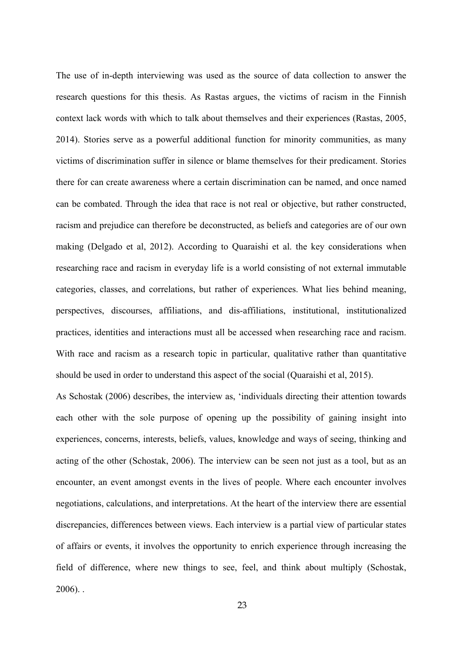The use of in-depth interviewing was used as the source of data collection to answer the research questions for this thesis. As Rastas argues, the victims of racism in the Finnish context lack words with which to talk about themselves and their experiences (Rastas, 2005, 2014). Stories serve as a powerful additional function for minority communities, as many victims of discrimination suffer in silence or blame themselves for their predicament. Stories there for can create awareness where a certain discrimination can be named, and once named can be combated. Through the idea that race is not real or objective, but rather constructed, racism and prejudice can therefore be deconstructed, as beliefs and categories are of our own making (Delgado et al, 2012). According to Quaraishi et al. the key considerations when researching race and racism in everyday life is a world consisting of not external immutable categories, classes, and correlations, but rather of experiences. What lies behind meaning, perspectives, discourses, affiliations, and dis-affiliations, institutional, institutionalized practices, identities and interactions must all be accessed when researching race and racism. With race and racism as a research topic in particular, qualitative rather than quantitative should be used in order to understand this aspect of the social (Quaraishi et al, 2015).

As Schostak (2006) describes, the interview as, 'individuals directing their attention towards each other with the sole purpose of opening up the possibility of gaining insight into experiences, concerns, interests, beliefs, values, knowledge and ways of seeing, thinking and acting of the other (Schostak, 2006). The interview can be seen not just as a tool, but as an encounter, an event amongst events in the lives of people. Where each encounter involves negotiations, calculations, and interpretations. At the heart of the interview there are essential discrepancies, differences between views. Each interview is a partial view of particular states of affairs or events, it involves the opportunity to enrich experience through increasing the field of difference, where new things to see, feel, and think about multiply (Schostak, 2006). .

23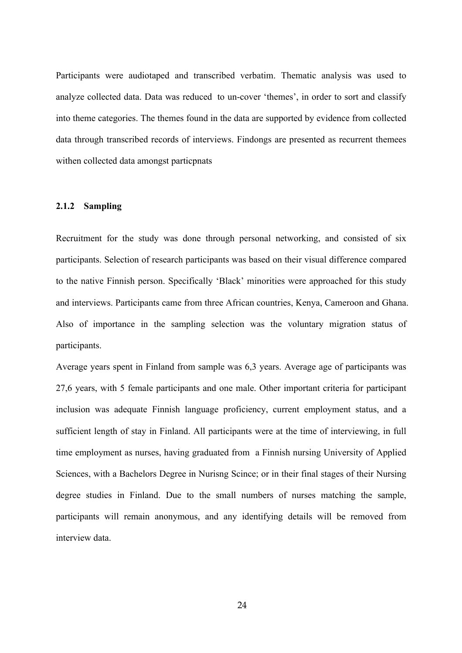Participants were audiotaped and transcribed verbatim. Thematic analysis was used to analyze collected data. Data was reduced to un-cover 'themes', in order to sort and classify into theme categories. The themes found in the data are supported by evidence from collected data through transcribed records of interviews. Findongs are presented as recurrent themees withen collected data amongst particpnats

#### **2.1.2 Sampling**

Recruitment for the study was done through personal networking, and consisted of six participants. Selection of research participants was based on their visual difference compared to the native Finnish person. Specifically 'Black' minorities were approached for this study and interviews. Participants came from three African countries, Kenya, Cameroon and Ghana. Also of importance in the sampling selection was the voluntary migration status of participants.

Average years spent in Finland from sample was 6,3 years. Average age of participants was 27,6 years, with 5 female participants and one male. Other important criteria for participant inclusion was adequate Finnish language proficiency, current employment status, and a sufficient length of stay in Finland. All participants were at the time of interviewing, in full time employment as nurses, having graduated from a Finnish nursing University of Applied Sciences, with a Bachelors Degree in Nurisng Scince; or in their final stages of their Nursing degree studies in Finland. Due to the small numbers of nurses matching the sample, participants will remain anonymous, and any identifying details will be removed from interview data.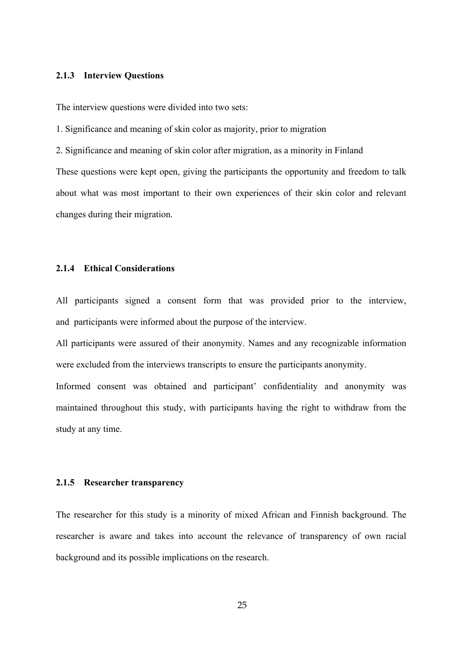## **2.1.3 Interview Questions**

The interview questions were divided into two sets:

1. Significance and meaning of skin color as majority, prior to migration

2. Significance and meaning of skin color after migration, as a minority in Finland

These questions were kept open, giving the participants the opportunity and freedom to talk about what was most important to their own experiences of their skin color and relevant changes during their migration.

## **2.1.4 Ethical Considerations**

All participants signed a consent form that was provided prior to the interview, and participants were informed about the purpose of the interview.

All participants were assured of their anonymity. Names and any recognizable information were excluded from the interviews transcripts to ensure the participants anonymity.

Informed consent was obtained and participant' confidentiality and anonymity was maintained throughout this study, with participants having the right to withdraw from the study at any time.

#### **2.1.5 Researcher transparency**

The researcher for this study is a minority of mixed African and Finnish background. The researcher is aware and takes into account the relevance of transparency of own racial background and its possible implications on the research.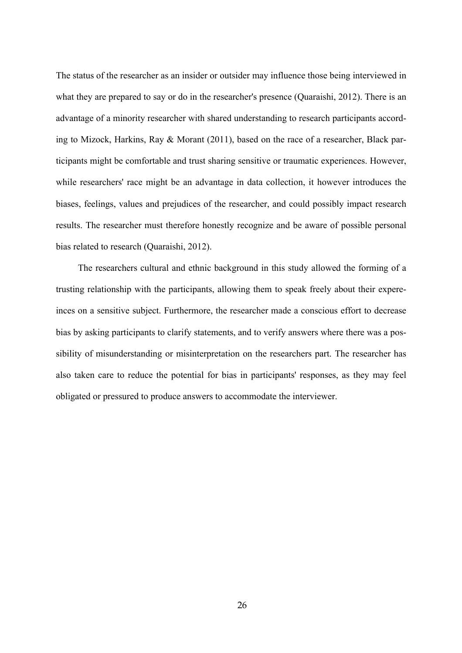The status of the researcher as an insider or outsider may influence those being interviewed in what they are prepared to say or do in the researcher's presence (Quaraishi, 2012). There is an advantage of a minority researcher with shared understanding to research participants according to Mizock, Harkins, Ray & Morant (2011), based on the race of a researcher, Black participants might be comfortable and trust sharing sensitive or traumatic experiences. However, while researchers' race might be an advantage in data collection, it however introduces the biases, feelings, values and prejudices of the researcher, and could possibly impact research results. The researcher must therefore honestly recognize and be aware of possible personal bias related to research (Quaraishi, 2012).

The researchers cultural and ethnic background in this study allowed the forming of a trusting relationship with the participants, allowing them to speak freely about their expereinces on a sensitive subject. Furthermore, the researcher made a conscious effort to decrease bias by asking participants to clarify statements, and to verify answers where there was a possibility of misunderstanding or misinterpretation on the researchers part. The researcher has also taken care to reduce the potential for bias in participants' responses, as they may feel obligated or pressured to produce answers to accommodate the interviewer.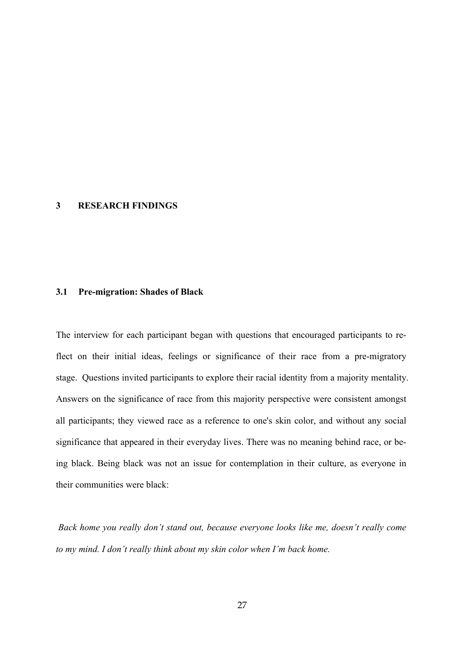#### **3 RESEARCH FINDINGS**

#### **3.1 Pre-migration: Shades of Black**

The interview for each participant began with questions that encouraged participants to reflect on their initial ideas, feelings or significance of their race from a pre-migratory stage. Questions invited participants to explore their racial identity from a majority mentality. Answers on the significance of race from this majority perspective were consistent amongst all participants; they viewed race as a reference to one's skin color, and without any social significance that appeared in their everyday lives. There was no meaning behind race, or being black. Being black was not an issue for contemplation in their culture, as everyone in their communities were black:

*Back home you really don't stand out, because everyone looks like me, doesn't really come to my mind. I don't really think about my skin color when I'm back home.*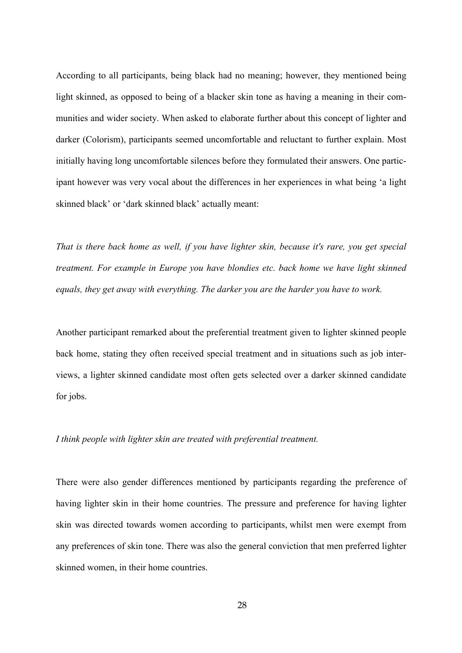According to all participants, being black had no meaning; however, they mentioned being light skinned, as opposed to being of a blacker skin tone as having a meaning in their communities and wider society. When asked to elaborate further about this concept of lighter and darker (Colorism), participants seemed uncomfortable and reluctant to further explain. Most initially having long uncomfortable silences before they formulated their answers. One participant however was very vocal about the differences in her experiences in what being 'a light skinned black' or 'dark skinned black' actually meant:

*That is there back home as well, if you have lighter skin, because it's rare, you get special treatment. For example in Europe you have blondies etc. back home we have light skinned equals, they get away with everything. The darker you are the harder you have to work.*

Another participant remarked about the preferential treatment given to lighter skinned people back home, stating they often received special treatment and in situations such as job interviews, a lighter skinned candidate most often gets selected over a darker skinned candidate for jobs.

#### *I think people with lighter skin are treated with preferential treatment.*

There were also gender differences mentioned by participants regarding the preference of having lighter skin in their home countries. The pressure and preference for having lighter skin was directed towards women according to participants, whilst men were exempt from any preferences of skin tone. There was also the general conviction that men preferred lighter skinned women, in their home countries.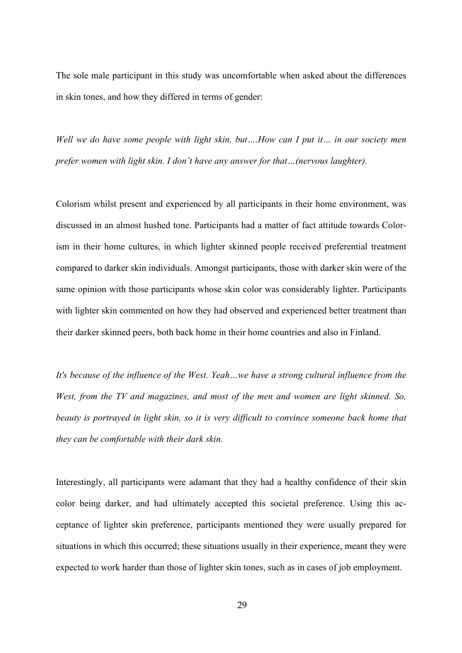The sole male participant in this study was uncomfortable when asked about the differences in skin tones, and how they differed in terms of gender:

*Well we do have some people with light skin, but….How can I put it… in our society men prefer women with light skin. I don't have any answer for that…(nervous laughter).*

Colorism whilst present and experienced by all participants in their home environment, was discussed in an almost hushed tone. Participants had a matter of fact attitude towards Colorism in their home cultures, in which lighter skinned people received preferential treatment compared to darker skin individuals. Amongst participants, those with darker skin were of the same opinion with those participants whose skin color was considerably lighter. Participants with lighter skin commented on how they had observed and experienced better treatment than their darker skinned peers, both back home in their home countries and also in Finland.

*It's because of the influence of the West. Yeah…we have a strong cultural influence from the West, from the TV and magazines, and most of the men and women are light skinned. So, beauty is portrayed in light skin, so it is very difficult to convince someone back home that they can be comfortable with their dark skin.*

Interestingly, all participants were adamant that they had a healthy confidence of their skin color being darker, and had ultimately accepted this societal preference. Using this acceptance of lighter skin preference, participants mentioned they were usually prepared for situations in which this occurred; these situations usually in their experience, meant they were expected to work harder than those of lighter skin tones, such as in cases of job employment.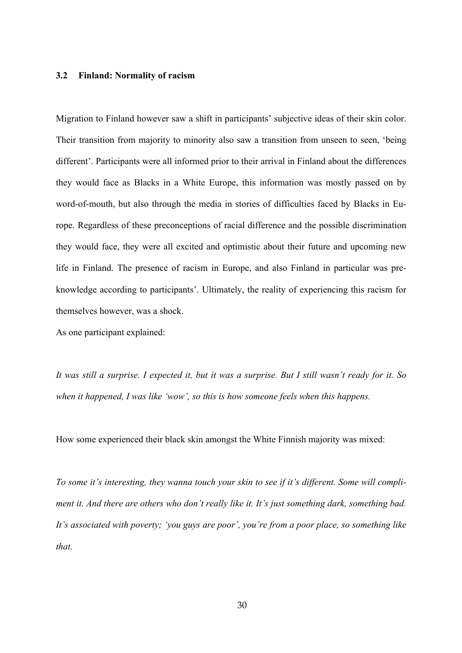#### **3.2 Finland: Normality of racism**

Migration to Finland however saw a shift in participants' subjective ideas of their skin color. Their transition from majority to minority also saw a transition from unseen to seen, 'being different'. Participants were all informed prior to their arrival in Finland about the differences they would face as Blacks in a White Europe, this information was mostly passed on by word-of-mouth, but also through the media in stories of difficulties faced by Blacks in Europe. Regardless of these preconceptions of racial difference and the possible discrimination they would face, they were all excited and optimistic about their future and upcoming new life in Finland. The presence of racism in Europe, and also Finland in particular was preknowledge according to participants'. Ultimately, the reality of experiencing this racism for themselves however, was a shock.

As one participant explained:

*It was still a surprise. I expected it, but it was a surprise. But I still wasn't ready for it. So when it happened, I was like 'wow', so this is how someone feels when this happens.*

How some experienced their black skin amongst the White Finnish majority was mixed:

*To some it's interesting, they wanna touch your skin to see if it's different. Some will compliment it. And there are others who don't really like it. It's just something dark, something bad. It's associated with poverty; 'you guys are poor', you're from a poor place, so something like that.*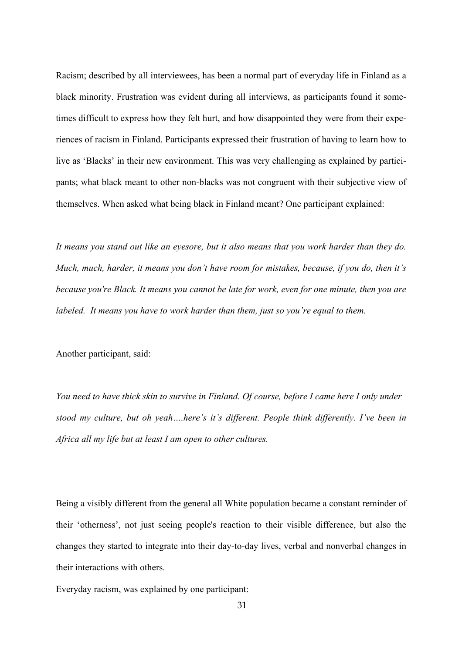Racism; described by all interviewees, has been a normal part of everyday life in Finland as a black minority. Frustration was evident during all interviews, as participants found it sometimes difficult to express how they felt hurt, and how disappointed they were from their experiences of racism in Finland. Participants expressed their frustration of having to learn how to live as 'Blacks' in their new environment. This was very challenging as explained by participants; what black meant to other non-blacks was not congruent with their subjective view of themselves. When asked what being black in Finland meant? One participant explained:

*It means you stand out like an eyesore, but it also means that you work harder than they do. Much, much, harder, it means you don't have room for mistakes, because, if you do, then it's because you're Black. It means you cannot be late for work, even for one minute, then you are labeled. It means you have to work harder than them, just so you're equal to them.*

Another participant, said:

*You need to have thick skin to survive in Finland. Of course, before I came here I only under stood my culture, but oh yeah….here's it's different. People think differently. I've been in Africa all my life but at least I am open to other cultures.*

Being a visibly different from the general all White population became a constant reminder of their 'otherness', not just seeing people's reaction to their visible difference, but also the changes they started to integrate into their day-to-day lives, verbal and nonverbal changes in their interactions with others.

Everyday racism, was explained by one participant: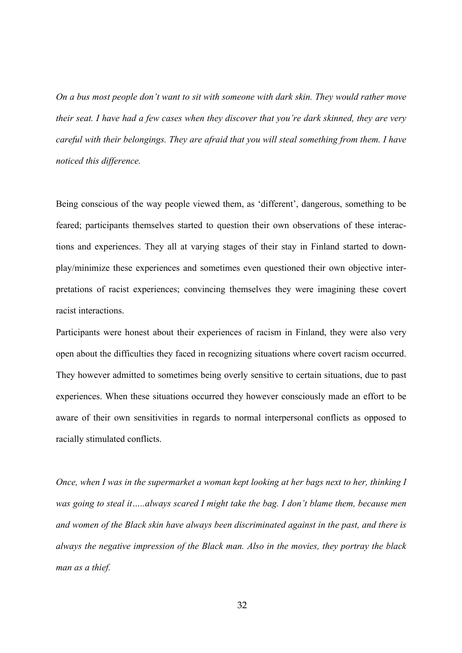*On a bus most people don't want to sit with someone with dark skin. They would rather move their seat. I have had a few cases when they discover that you're dark skinned, they are very careful with their belongings. They are afraid that you will steal something from them. I have noticed this difference.*

Being conscious of the way people viewed them, as 'different', dangerous, something to be feared; participants themselves started to question their own observations of these interactions and experiences. They all at varying stages of their stay in Finland started to downplay/minimize these experiences and sometimes even questioned their own objective interpretations of racist experiences; convincing themselves they were imagining these covert racist interactions.

Participants were honest about their experiences of racism in Finland, they were also very open about the difficulties they faced in recognizing situations where covert racism occurred. They however admitted to sometimes being overly sensitive to certain situations, due to past experiences. When these situations occurred they however consciously made an effort to be aware of their own sensitivities in regards to normal interpersonal conflicts as opposed to racially stimulated conflicts.

*Once, when I was in the supermarket a woman kept looking at her bags next to her, thinking I was going to steal it…..always scared I might take the bag. I don't blame them, because men and women of the Black skin have always been discriminated against in the past, and there is always the negative impression of the Black man. Also in the movies, they portray the black man as a thief.*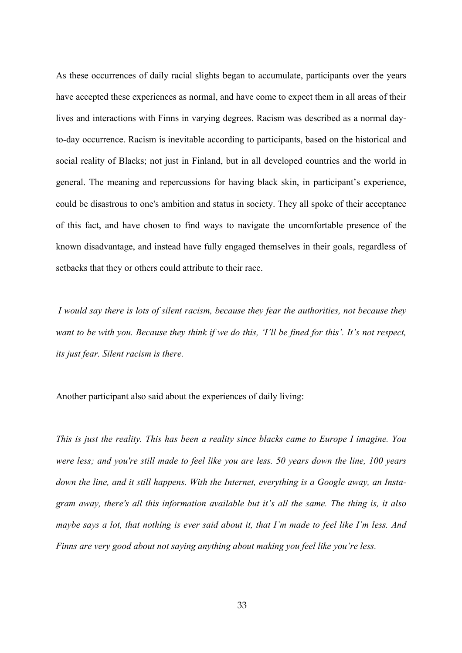As these occurrences of daily racial slights began to accumulate, participants over the years have accepted these experiences as normal, and have come to expect them in all areas of their lives and interactions with Finns in varying degrees. Racism was described as a normal dayto-day occurrence. Racism is inevitable according to participants, based on the historical and social reality of Blacks; not just in Finland, but in all developed countries and the world in general. The meaning and repercussions for having black skin, in participant's experience, could be disastrous to one's ambition and status in society. They all spoke of their acceptance of this fact, and have chosen to find ways to navigate the uncomfortable presence of the known disadvantage, and instead have fully engaged themselves in their goals, regardless of setbacks that they or others could attribute to their race.

*I would say there is lots of silent racism, because they fear the authorities, not because they want to be with you. Because they think if we do this, 'I'll be fined for this'. It's not respect, its just fear. Silent racism is there.*

Another participant also said about the experiences of daily living:

*This is just the reality. This has been a reality since blacks came to Europe I imagine. You were less; and you're still made to feel like you are less. 50 years down the line, 100 years down the line, and it still happens. With the Internet, everything is a Google away, an Instagram away, there's all this information available but it's all the same. The thing is, it also maybe says a lot, that nothing is ever said about it, that I'm made to feel like I'm less. And Finns are very good about not saying anything about making you feel like you're less.*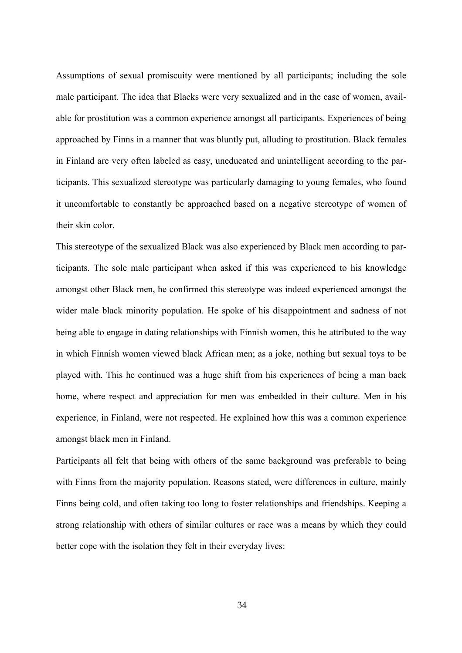Assumptions of sexual promiscuity were mentioned by all participants; including the sole male participant. The idea that Blacks were very sexualized and in the case of women, available for prostitution was a common experience amongst all participants. Experiences of being approached by Finns in a manner that was bluntly put, alluding to prostitution. Black females in Finland are very often labeled as easy, uneducated and unintelligent according to the participants. This sexualized stereotype was particularly damaging to young females, who found it uncomfortable to constantly be approached based on a negative stereotype of women of their skin color.

This stereotype of the sexualized Black was also experienced by Black men according to participants. The sole male participant when asked if this was experienced to his knowledge amongst other Black men, he confirmed this stereotype was indeed experienced amongst the wider male black minority population. He spoke of his disappointment and sadness of not being able to engage in dating relationships with Finnish women, this he attributed to the way in which Finnish women viewed black African men; as a joke, nothing but sexual toys to be played with. This he continued was a huge shift from his experiences of being a man back home, where respect and appreciation for men was embedded in their culture. Men in his experience, in Finland, were not respected. He explained how this was a common experience amongst black men in Finland.

Participants all felt that being with others of the same background was preferable to being with Finns from the majority population. Reasons stated, were differences in culture, mainly Finns being cold, and often taking too long to foster relationships and friendships. Keeping a strong relationship with others of similar cultures or race was a means by which they could better cope with the isolation they felt in their everyday lives:

34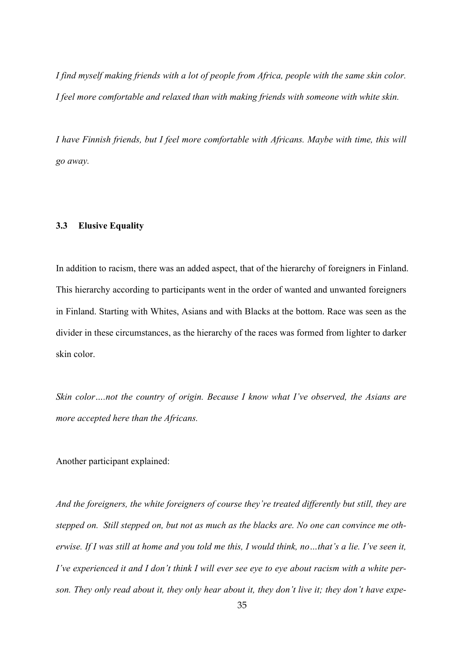*I find myself making friends with a lot of people from Africa, people with the same skin color. I feel more comfortable and relaxed than with making friends with someone with white skin.*

*I have Finnish friends, but I feel more comfortable with Africans. Maybe with time, this will go away.*

#### **3.3 Elusive Equality**

In addition to racism, there was an added aspect, that of the hierarchy of foreigners in Finland. This hierarchy according to participants went in the order of wanted and unwanted foreigners in Finland. Starting with Whites, Asians and with Blacks at the bottom. Race was seen as the divider in these circumstances, as the hierarchy of the races was formed from lighter to darker skin color.

*Skin color….not the country of origin. Because I know what I've observed, the Asians are more accepted here than the Africans.*

Another participant explained:

*And the foreigners, the white foreigners of course they're treated differently but still, they are stepped on. Still stepped on, but not as much as the blacks are. No one can convince me otherwise. If I was still at home and you told me this, I would think, no…that's a lie. I've seen it, I've experienced it and I don't think I will ever see eye to eye about racism with a white person. They only read about it, they only hear about it, they don't live it; they don't have expe-*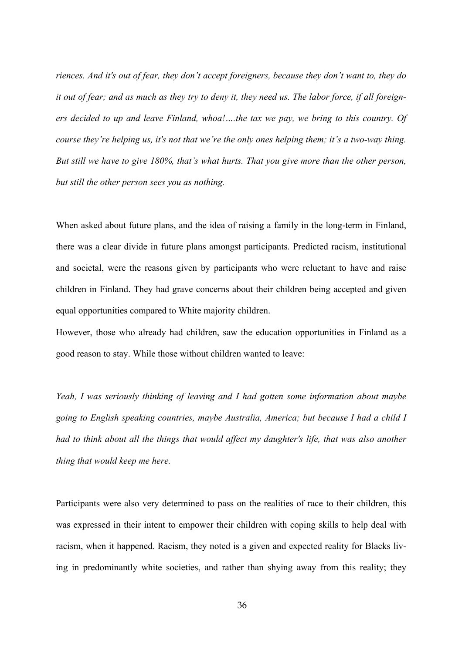*riences. And it's out of fear, they don't accept foreigners, because they don't want to, they do it out of fear; and as much as they try to deny it, they need us. The labor force, if all foreigners decided to up and leave Finland, whoa!….the tax we pay, we bring to this country. Of course they're helping us, it's not that we're the only ones helping them; it's a two-way thing. But still we have to give 180%, that's what hurts. That you give more than the other person, but still the other person sees you as nothing.*

When asked about future plans, and the idea of raising a family in the long-term in Finland, there was a clear divide in future plans amongst participants. Predicted racism, institutional and societal, were the reasons given by participants who were reluctant to have and raise children in Finland. They had grave concerns about their children being accepted and given equal opportunities compared to White majority children.

However, those who already had children, saw the education opportunities in Finland as a good reason to stay. While those without children wanted to leave:

*Yeah, I was seriously thinking of leaving and I had gotten some information about maybe going to English speaking countries, maybe Australia, America; but because I had a child I had to think about all the things that would affect my daughter's life, that was also another thing that would keep me here.*

Participants were also very determined to pass on the realities of race to their children, this was expressed in their intent to empower their children with coping skills to help deal with racism, when it happened. Racism, they noted is a given and expected reality for Blacks living in predominantly white societies, and rather than shying away from this reality; they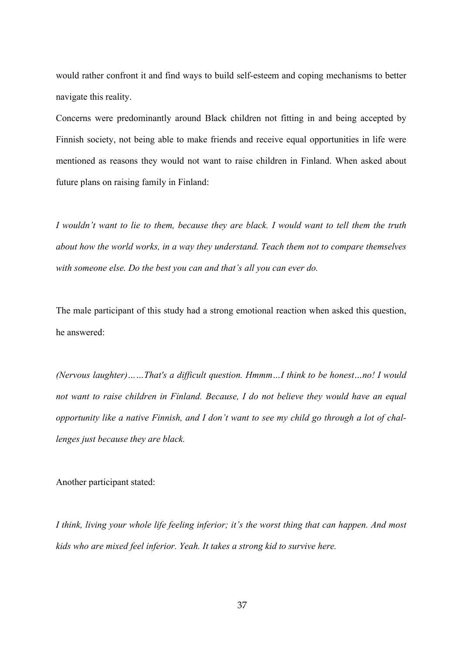would rather confront it and find ways to build self-esteem and coping mechanisms to better navigate this reality.

Concerns were predominantly around Black children not fitting in and being accepted by Finnish society, not being able to make friends and receive equal opportunities in life were mentioned as reasons they would not want to raise children in Finland. When asked about future plans on raising family in Finland:

*I wouldn't want to lie to them, because they are black. I would want to tell them the truth about how the world works, in a way they understand. Teach them not to compare themselves with someone else. Do the best you can and that's all you can ever do.*

The male participant of this study had a strong emotional reaction when asked this question, he answered:

*(Nervous laughter)……That's a difficult question. Hmmm…I think to be honest…no! I would not want to raise children in Finland. Because, I do not believe they would have an equal opportunity like a native Finnish, and I don't want to see my child go through a lot of challenges just because they are black.*

Another participant stated:

*I think, living your whole life feeling inferior; it's the worst thing that can happen. And most kids who are mixed feel inferior. Yeah. It takes a strong kid to survive here.*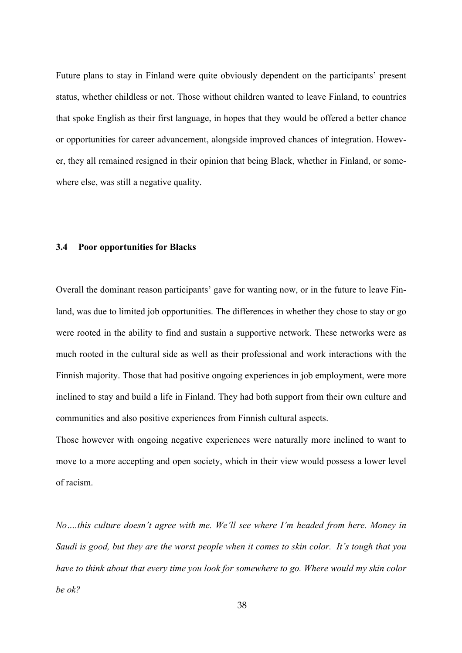Future plans to stay in Finland were quite obviously dependent on the participants' present status, whether childless or not. Those without children wanted to leave Finland, to countries that spoke English as their first language, in hopes that they would be offered a better chance or opportunities for career advancement, alongside improved chances of integration. However, they all remained resigned in their opinion that being Black, whether in Finland, or somewhere else, was still a negative quality.

#### **3.4 Poor opportunities for Blacks**

Overall the dominant reason participants' gave for wanting now, or in the future to leave Finland, was due to limited job opportunities. The differences in whether they chose to stay or go were rooted in the ability to find and sustain a supportive network. These networks were as much rooted in the cultural side as well as their professional and work interactions with the Finnish majority. Those that had positive ongoing experiences in job employment, were more inclined to stay and build a life in Finland. They had both support from their own culture and communities and also positive experiences from Finnish cultural aspects.

Those however with ongoing negative experiences were naturally more inclined to want to move to a more accepting and open society, which in their view would possess a lower level of racism.

*No….this culture doesn't agree with me. We'll see where I'm headed from here. Money in Saudi is good, but they are the worst people when it comes to skin color. It's tough that you have to think about that every time you look for somewhere to go. Where would my skin color be ok?*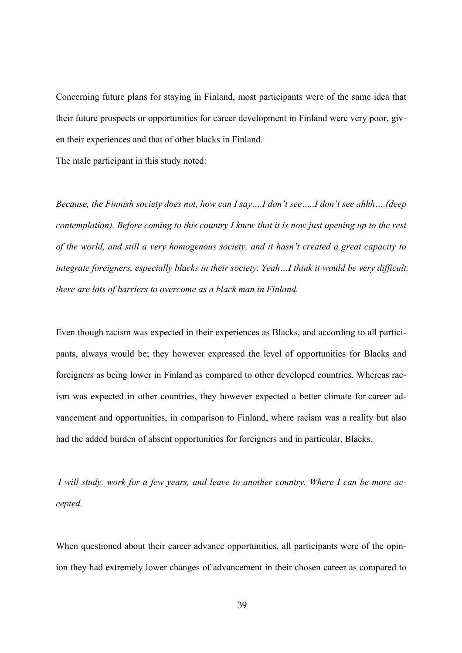Concerning future plans for staying in Finland, most participants were of the same idea that their future prospects or opportunities for career development in Finland were very poor, given their experiences and that of other blacks in Finland.

The male participant in this study noted:

*Because, the Finnish society does not, how can I say….I don't see…..I don't see ahhh….(deep contemplation). Before coming to this country I knew that it is now just opening up to the rest of the world, and still a very homogenous society, and it hasn't created a great capacity to integrate foreigners, especially blacks in their society. Yeah…I think it would be very difficult, there are lots of barriers to overcome as a black man in Finland.*

Even though racism was expected in their experiences as Blacks, and according to all participants, always would be; they however expressed the level of opportunities for Blacks and foreigners as being lower in Finland as compared to other developed countries. Whereas racism was expected in other countries, they however expected a better climate for career advancement and opportunities, in comparison to Finland, where racism was a reality but also had the added burden of absent opportunities for foreigners and in particular, Blacks.

*I will study, work for a few years, and leave to another country. Where I can be more accepted.*

When questioned about their career advance opportunities, all participants were of the opinion they had extremely lower changes of advancement in their chosen career as compared to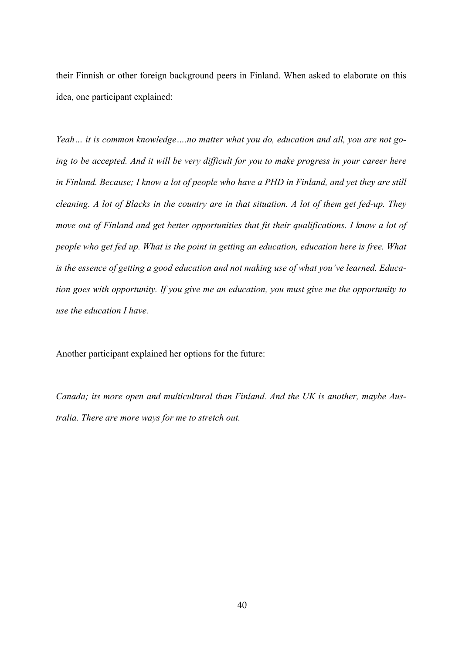their Finnish or other foreign background peers in Finland. When asked to elaborate on this idea, one participant explained:

*Yeah… it is common knowledge….no matter what you do, education and all, you are not going to be accepted. And it will be very difficult for you to make progress in your career here in Finland. Because; I know a lot of people who have a PHD in Finland, and yet they are still cleaning. A lot of Blacks in the country are in that situation. A lot of them get fed-up. They move out of Finland and get better opportunities that fit their qualifications. I know a lot of people who get fed up. What is the point in getting an education, education here is free. What is the essence of getting a good education and not making use of what you've learned. Education goes with opportunity. If you give me an education, you must give me the opportunity to use the education I have.*

Another participant explained her options for the future:

*Canada; its more open and multicultural than Finland. And the UK is another, maybe Australia. There are more ways for me to stretch out.*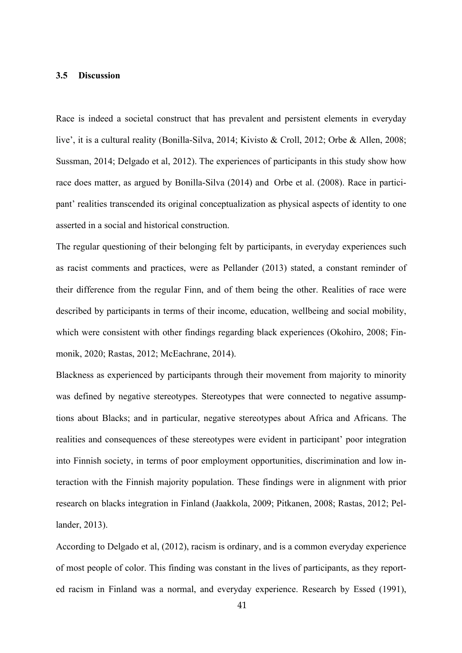## **3.5 Discussion**

Race is indeed a societal construct that has prevalent and persistent elements in everyday live', it is a cultural reality (Bonilla-Silva, 2014; Kivisto & Croll, 2012; Orbe & Allen, 2008; Sussman, 2014; Delgado et al, 2012). The experiences of participants in this study show how race does matter, as argued by Bonilla-Silva (2014) and Orbe et al. (2008). Race in participant' realities transcended its original conceptualization as physical aspects of identity to one asserted in a social and historical construction.

The regular questioning of their belonging felt by participants, in everyday experiences such as racist comments and practices, were as Pellander (2013) stated, a constant reminder of their difference from the regular Finn, and of them being the other. Realities of race were described by participants in terms of their income, education, wellbeing and social mobility, which were consistent with other findings regarding black experiences (Okohiro, 2008; Finmonik, 2020; Rastas, 2012; McEachrane, 2014).

Blackness as experienced by participants through their movement from majority to minority was defined by negative stereotypes. Stereotypes that were connected to negative assumptions about Blacks; and in particular, negative stereotypes about Africa and Africans. The realities and consequences of these stereotypes were evident in participant' poor integration into Finnish society, in terms of poor employment opportunities, discrimination and low interaction with the Finnish majority population. These findings were in alignment with prior research on blacks integration in Finland (Jaakkola, 2009; Pitkanen, 2008; Rastas, 2012; Pellander, 2013).

According to Delgado et al, (2012), racism is ordinary, and is a common everyday experience of most people of color. This finding was constant in the lives of participants, as they reported racism in Finland was a normal, and everyday experience. Research by Essed (1991),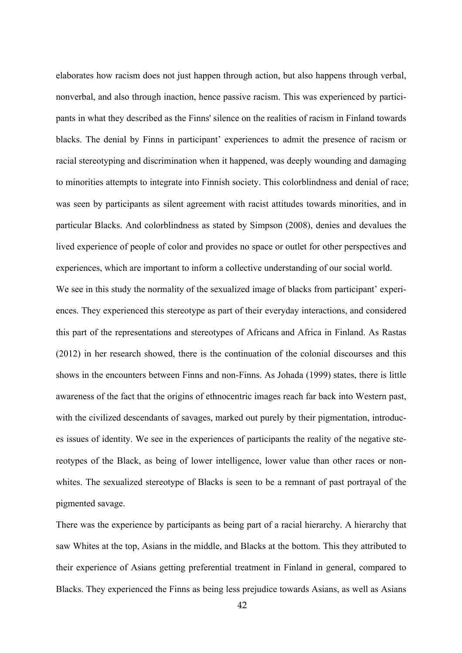elaborates how racism does not just happen through action, but also happens through verbal, nonverbal, and also through inaction, hence passive racism. This was experienced by participants in what they described as the Finns' silence on the realities of racism in Finland towards blacks. The denial by Finns in participant' experiences to admit the presence of racism or racial stereotyping and discrimination when it happened, was deeply wounding and damaging to minorities attempts to integrate into Finnish society. This colorblindness and denial of race; was seen by participants as silent agreement with racist attitudes towards minorities, and in particular Blacks. And colorblindness as stated by Simpson (2008), denies and devalues the lived experience of people of color and provides no space or outlet for other perspectives and experiences, which are important to inform a collective understanding of our social world.

We see in this study the normality of the sexualized image of blacks from participant' experiences. They experienced this stereotype as part of their everyday interactions, and considered this part of the representations and stereotypes of Africans and Africa in Finland. As Rastas (2012) in her research showed, there is the continuation of the colonial discourses and this shows in the encounters between Finns and non-Finns. As Johada (1999) states, there is little awareness of the fact that the origins of ethnocentric images reach far back into Western past, with the civilized descendants of savages, marked out purely by their pigmentation, introduces issues of identity. We see in the experiences of participants the reality of the negative stereotypes of the Black, as being of lower intelligence, lower value than other races or nonwhites. The sexualized stereotype of Blacks is seen to be a remnant of past portrayal of the pigmented savage.

There was the experience by participants as being part of a racial hierarchy. A hierarchy that saw Whites at the top, Asians in the middle, and Blacks at the bottom. This they attributed to their experience of Asians getting preferential treatment in Finland in general, compared to Blacks. They experienced the Finns as being less prejudice towards Asians, as well as Asians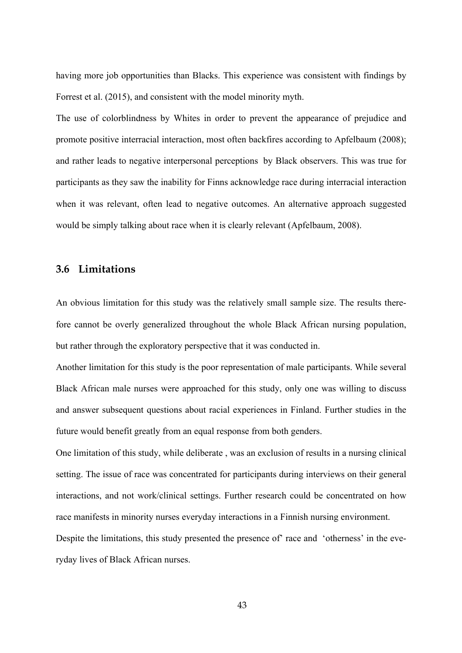having more job opportunities than Blacks. This experience was consistent with findings by Forrest et al. (2015), and consistent with the model minority myth.

The use of colorblindness by Whites in order to prevent the appearance of prejudice and promote positive interracial interaction, most often backfires according to Apfelbaum (2008); and rather leads to negative interpersonal perceptions by Black observers. This was true for participants as they saw the inability for Finns acknowledge race during interracial interaction when it was relevant, often lead to negative outcomes. An alternative approach suggested would be simply talking about race when it is clearly relevant (Apfelbaum, 2008).

## **3.6 Limitations**

An obvious limitation for this study was the relatively small sample size. The results therefore cannot be overly generalized throughout the whole Black African nursing population, but rather through the exploratory perspective that it was conducted in.

Another limitation for this study is the poor representation of male participants. While several Black African male nurses were approached for this study, only one was willing to discuss and answer subsequent questions about racial experiences in Finland. Further studies in the future would benefit greatly from an equal response from both genders.

One limitation of this study, while deliberate , was an exclusion of results in a nursing clinical setting. The issue of race was concentrated for participants during interviews on their general interactions, and not work/clinical settings. Further research could be concentrated on how race manifests in minority nurses everyday interactions in a Finnish nursing environment. Despite the limitations, this study presented the presence of' race and 'otherness' in the everyday lives of Black African nurses.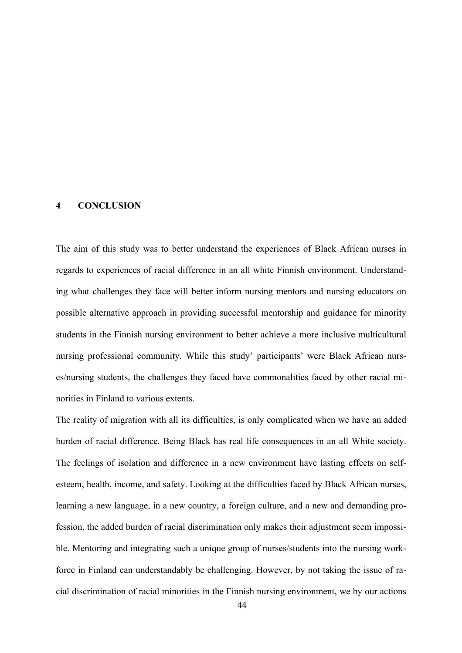#### **4 CONCLUSION**

The aim of this study was to better understand the experiences of Black African nurses in regards to experiences of racial difference in an all white Finnish environment. Understanding what challenges they face will better inform nursing mentors and nursing educators on possible alternative approach in providing successful mentorship and guidance for minority students in the Finnish nursing environment to better achieve a more inclusive multicultural nursing professional community. While this study' participants' were Black African nurses/nursing students, the challenges they faced have commonalities faced by other racial minorities in Finland to various extents.

The reality of migration with all its difficulties, is only complicated when we have an added burden of racial difference. Being Black has real life consequences in an all White society. The feelings of isolation and difference in a new environment have lasting effects on selfesteem, health, income, and safety. Looking at the difficulties faced by Black African nurses, learning a new language, in a new country, a foreign culture, and a new and demanding profession, the added burden of racial discrimination only makes their adjustment seem impossible. Mentoring and integrating such a unique group of nurses/students into the nursing workforce in Finland can understandably be challenging. However, by not taking the issue of racial discrimination of racial minorities in the Finnish nursing environment, we by our actions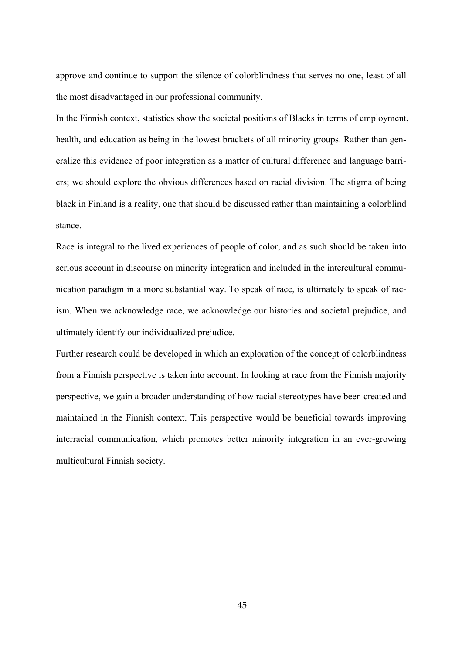approve and continue to support the silence of colorblindness that serves no one, least of all the most disadvantaged in our professional community.

In the Finnish context, statistics show the societal positions of Blacks in terms of employment, health, and education as being in the lowest brackets of all minority groups. Rather than generalize this evidence of poor integration as a matter of cultural difference and language barriers; we should explore the obvious differences based on racial division. The stigma of being black in Finland is a reality, one that should be discussed rather than maintaining a colorblind stance.

Race is integral to the lived experiences of people of color, and as such should be taken into serious account in discourse on minority integration and included in the intercultural communication paradigm in a more substantial way. To speak of race, is ultimately to speak of racism. When we acknowledge race, we acknowledge our histories and societal prejudice, and ultimately identify our individualized prejudice.

Further research could be developed in which an exploration of the concept of colorblindness from a Finnish perspective is taken into account. In looking at race from the Finnish majority perspective, we gain a broader understanding of how racial stereotypes have been created and maintained in the Finnish context. This perspective would be beneficial towards improving interracial communication, which promotes better minority integration in an ever-growing multicultural Finnish society.

45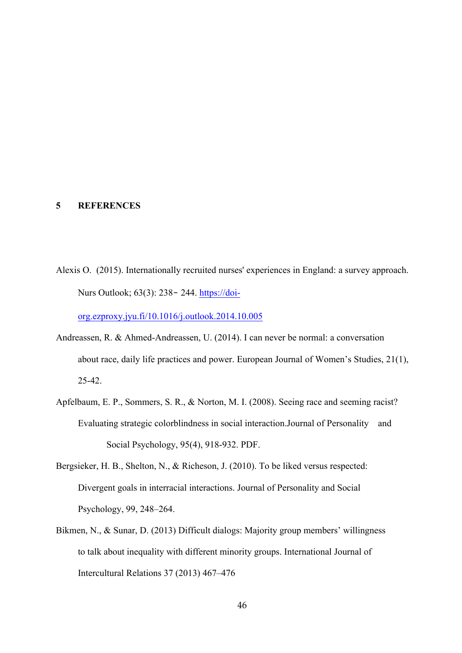## **5 REFERENCES**

Alexis O. (2015). Internationally recruited nurses' experiences in England: a survey approach. Nurs Outlook; 63(3): 238‐ 244. https://doi-

org.ezproxy.jyu.fi/10.1016/j.outlook.2014.10.005

- Andreassen, R. & Ahmed-Andreassen, U. (2014). I can never be normal: a conversation about race, daily life practices and power. European Journal of Women's Studies, 21(1), 25-42.
- Apfelbaum, E. P., Sommers, S. R., & Norton, M. I. (2008). Seeing race and seeming racist? Evaluating strategic colorblindness in social interaction.Journal of Personality and Social Psychology, 95(4), 918-932. PDF.
- Bergsieker, H. B., Shelton, N., & Richeson, J. (2010). To be liked versus respected: Divergent goals in interracial interactions. Journal of Personality and Social Psychology, 99, 248–264.
- Bikmen, N., & Sunar, D. (2013) Difficult dialogs: Majority group members' willingness to talk about inequality with different minority groups. International Journal of Intercultural Relations 37 (2013) 467–476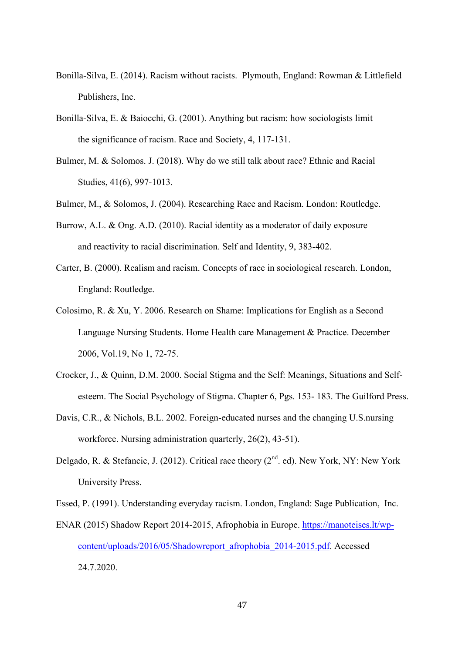- Bonilla-Silva, E. (2014). Racism without racists. Plymouth, England: Rowman & Littlefield Publishers, Inc.
- Bonilla-Silva, E. & Baiocchi, G. (2001). Anything but racism: how sociologists limit the significance of racism. Race and Society, 4, 117-131.
- Bulmer, M. & Solomos. J. (2018). Why do we still talk about race? Ethnic and Racial Studies, 41(6), 997-1013.
- Bulmer, M., & Solomos, J. (2004). Researching Race and Racism. London: Routledge.
- Burrow, A.L. & Ong. A.D. (2010). Racial identity as a moderator of daily exposure and reactivity to racial discrimination. Self and Identity, 9, 383-402.
- Carter, B. (2000). Realism and racism. Concepts of race in sociological research. London, England: Routledge.
- Colosimo, R. & Xu, Y. 2006. Research on Shame: Implications for English as a Second Language Nursing Students. Home Health care Management & Practice. December 2006, Vol.19, No 1, 72-75.
- Crocker, J., & Quinn, D.M. 2000. Social Stigma and the Self: Meanings, Situations and Selfesteem. The Social Psychology of Stigma. Chapter 6, Pgs. 153- 183. The Guilford Press.
- Davis, C.R., & Nichols, B.L. 2002. Foreign-educated nurses and the changing U.S.nursing workforce. Nursing administration quarterly, 26(2), 43-51).
- Delgado, R. & Stefancic, J. (2012). Critical race theory ( $2<sup>nd</sup>$ . ed). New York, NY: New York University Press.
- Essed, P. (1991). Understanding everyday racism. London, England: Sage Publication, Inc.
- ENAR (2015) Shadow Report 2014-2015, Afrophobia in Europe. https://manoteises.lt/wpcontent/uploads/2016/05/Shadowreport\_afrophobia\_2014-2015.pdf. Accessed 24.7.2020.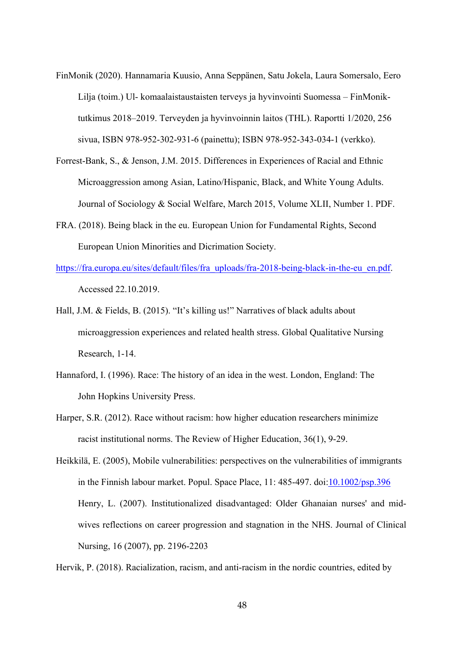- FinMonik (2020). Hannamaria Kuusio, Anna Seppänen, Satu Jokela, Laura Somersalo, Eero Lilja (toim.) Ul- komaalaistaustaisten terveys ja hyvinvointi Suomessa – FinMoniktutkimus 2018–2019. Terveyden ja hyvinvoinnin laitos (THL). Raportti 1/2020, 256 sivua, ISBN 978-952-302-931-6 (painettu); ISBN 978-952-343-034-1 (verkko).
- Forrest-Bank, S., & Jenson, J.M. 2015. Differences in Experiences of Racial and Ethnic Microaggression among Asian, Latino/Hispanic, Black, and White Young Adults. Journal of Sociology & Social Welfare, March 2015, Volume XLII, Number 1. PDF.
- FRA. (2018). Being black in the eu. European Union for Fundamental Rights, Second European Union Minorities and Dicrimation Society.
- https://fra.europa.eu/sites/default/files/fra\_uploads/fra-2018-being-black-in-the-eu\_en.pdf. Accessed 22.10.2019.
- Hall, J.M. & Fields, B. (2015). "It's killing us!" Narratives of black adults about microaggression experiences and related health stress. Global Qualitative Nursing Research, 1-14.
- Hannaford, I. (1996). Race: The history of an idea in the west. London, England: The John Hopkins University Press.
- Harper, S.R. (2012). Race without racism: how higher education researchers minimize racist institutional norms. The Review of Higher Education, 36(1), 9-29.
- Heikkilä, E. (2005), Mobile vulnerabilities: perspectives on the vulnerabilities of immigrants in the Finnish labour market. Popul. Space Place, 11: 485-497. doi:10.1002/psp.396 Henry, L. (2007). Institutionalized disadvantaged: Older Ghanaian nurses' and midwives reflections on career progression and stagnation in the NHS. Journal of Clinical Nursing, 16 (2007), pp. 2196-2203

Hervik, P. (2018). Racialization, racism, and anti-racism in the nordic countries, edited by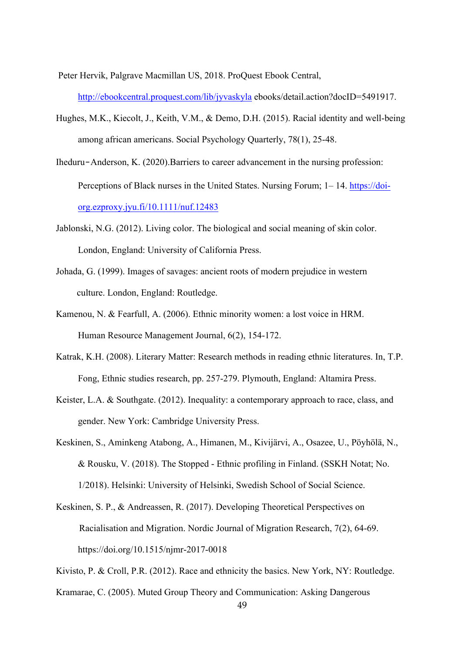Peter Hervik, Palgrave Macmillan US, 2018. ProQuest Ebook Central,

http://ebookcentral.proquest.com/lib/jyvaskyla ebooks/detail.action?docID=5491917.

- Hughes, M.K., Kiecolt, J., Keith, V.M., & Demo, D.H. (2015). Racial identity and well-being among african americans. Social Psychology Quarterly, 78(1), 25-48.
- Iheduru‐Anderson, K. (2020).Barriers to career advancement in the nursing profession: Perceptions of Black nurses in the United States. Nursing Forum; 1– 14. https://doiorg.ezproxy.jyu.fi/10.1111/nuf.12483
- Jablonski, N.G. (2012). Living color. The biological and social meaning of skin color. London, England: University of California Press.
- Johada, G. (1999). Images of savages: ancient roots of modern prejudice in western culture. London, England: Routledge.
- Kamenou, N. & Fearfull, A. (2006). Ethnic minority women: a lost voice in HRM. Human Resource Management Journal, 6(2), 154-172.
- Katrak, K.H. (2008). Literary Matter: Research methods in reading ethnic literatures. In, T.P. Fong, Ethnic studies research, pp. 257-279. Plymouth, England: Altamira Press.
- Keister, L.A. & Southgate. (2012). Inequality: a contemporary approach to race, class, and gender. New York: Cambridge University Press.
- Keskinen, S., Aminkeng Atabong, A., Himanen, M., Kivijärvi, A., Osazee, U., Pöyhölä, N., & Rousku, V. (2018). The Stopped - Ethnic profiling in Finland. (SSKH Notat; No. 1/2018). Helsinki: University of Helsinki, Swedish School of Social Science.
- Keskinen, S. P., & Andreassen, R. (2017). Developing Theoretical Perspectives on Racialisation and Migration. Nordic Journal of Migration Research, 7(2), 64-69. https://doi.org/10.1515/njmr-2017-0018
- Kivisto, P. & Croll, P.R. (2012). Race and ethnicity the basics. New York, NY: Routledge.
- Kramarae, C. (2005). Muted Group Theory and Communication: Asking Dangerous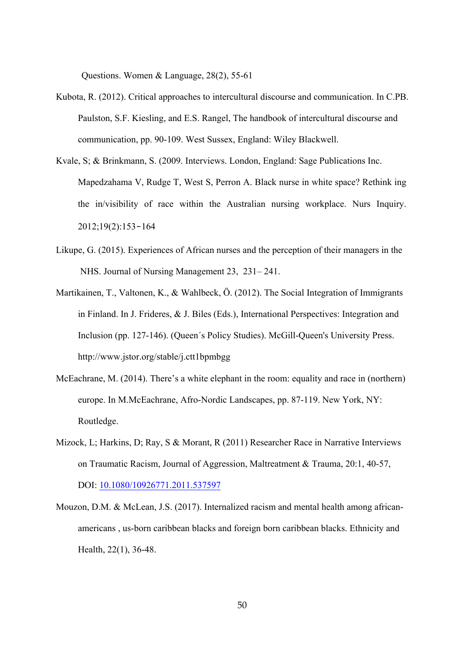Questions. Women & Language, 28(2), 55-61

- Kubota, R. (2012). Critical approaches to intercultural discourse and communication. In C.PB. Paulston, S.F. Kiesling, and E.S. Rangel, The handbook of intercultural discourse and communication, pp. 90-109. West Sussex, England: Wiley Blackwell.
- Kvale, S; & Brinkmann, S. (2009. Interviews. London, England: Sage Publications Inc. Mapedzahama V, Rudge T, West S, Perron A. Black nurse in white space? Rethink ing the in/visibility of race within the Australian nursing workplace. Nurs Inquiry. 2012;19(2):153‐164
- Likupe, G. (2015). Experiences of African nurses and the perception of their managers in the NHS. Journal of Nursing Management 23, 231– 241.
- Martikainen, T., Valtonen, K., & Wahlbeck, Ö. (2012). The Social Integration of Immigrants in Finland. In J. Frideres, & J. Biles (Eds.), International Perspectives: Integration and Inclusion (pp. 127-146). (Queen´s Policy Studies). McGill-Queen's University Press. http://www.jstor.org/stable/j.ctt1bpmbgg
- McEachrane, M. (2014). There's a white elephant in the room: equality and race in (northern) europe. In M.McEachrane, Afro-Nordic Landscapes, pp. 87-119. New York, NY: Routledge.
- Mizock, L; Harkins, D; Ray, S & Morant, R (2011) Researcher Race in Narrative Interviews on Traumatic Racism, Journal of Aggression, Maltreatment & Trauma, 20:1, 40-57, DOI: 10.1080/10926771.2011.537597
- Mouzon, D.M. & McLean, J.S. (2017). Internalized racism and mental health among africanamericans , us-born caribbean blacks and foreign born caribbean blacks. Ethnicity and Health, 22(1), 36-48.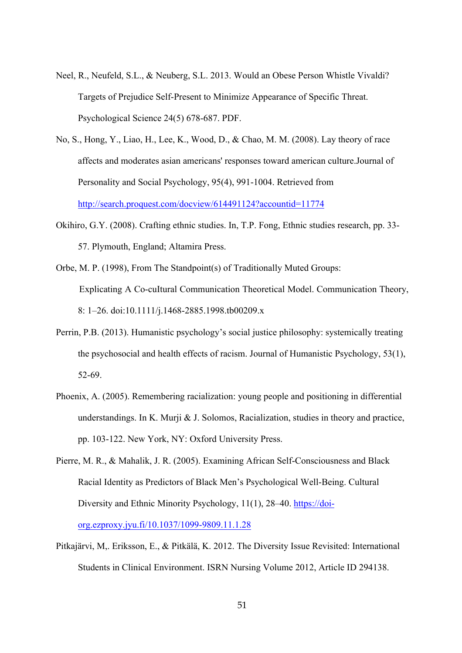- Neel, R., Neufeld, S.L., & Neuberg, S.L. 2013. Would an Obese Person Whistle Vivaldi? Targets of Prejudice Self-Present to Minimize Appearance of Specific Threat. Psychological Science 24(5) 678-687. PDF.
- No, S., Hong, Y., Liao, H., Lee, K., Wood, D., & Chao, M. M. (2008). Lay theory of race affects and moderates asian americans' responses toward american culture.Journal of Personality and Social Psychology, 95(4), 991-1004. Retrieved from http://search.proquest.com/docview/614491124?accountid=11774
- Okihiro, G.Y. (2008). Crafting ethnic studies. In, T.P. Fong, Ethnic studies research, pp. 33- 57. Plymouth, England; Altamira Press.
- Orbe, M. P. (1998), From The Standpoint(s) of Traditionally Muted Groups: Explicating A Co-cuItural Communication Theoretical Model. Communication Theory, 8: 1–26. doi:10.1111/j.1468-2885.1998.tb00209.x
- Perrin, P.B. (2013). Humanistic psychology's social justice philosophy: systemically treating the psychosocial and health effects of racism. Journal of Humanistic Psychology, 53(1), 52-69.
- Phoenix, A. (2005). Remembering racialization: young people and positioning in differential understandings. In K. Murji & J. Solomos, Racialization, studies in theory and practice, pp. 103-122. New York, NY: Oxford University Press.
- Pierre, M. R., & Mahalik, J. R. (2005). Examining African Self-Consciousness and Black Racial Identity as Predictors of Black Men's Psychological Well-Being. Cultural Diversity and Ethnic Minority Psychology, 11(1), 28–40. https://doiorg.ezproxy.jyu.fi/10.1037/1099-9809.11.1.28
- Pitkajärvi, M,. Eriksson, E., & Pitkälä, K. 2012. The Diversity Issue Revisited: International Students in Clinical Environment. ISRN Nursing Volume 2012, Article ID 294138.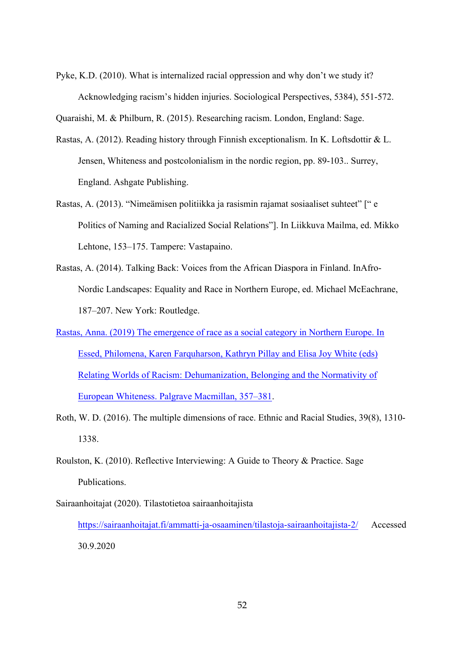Pyke, K.D. (2010). What is internalized racial oppression and why don't we study it? Acknowledging racism's hidden injuries. Sociological Perspectives, 5384), 551-572.

Quaraishi, M. & Philburn, R. (2015). Researching racism. London, England: Sage.

- Rastas, A. (2012). Reading history through Finnish exceptionalism. In K. Loftsdottir & L. Jensen, Whiteness and postcolonialism in the nordic region, pp. 89-103.. Surrey, England. Ashgate Publishing.
- Rastas, A. (2013). "Nimeämisen politiikka ja rasismin rajamat sosiaaliset suhteet" [" e Politics of Naming and Racialized Social Relations"]. In Liikkuva Mailma, ed. Mikko Lehtone, 153–175. Tampere: Vastapaino.
- Rastas, A. (2014). Talking Back: Voices from the African Diaspora in Finland. InAfro-Nordic Landscapes: Equality and Race in Northern Europe, ed. Michael McEachrane, 187–207. New York: Routledge.
- Rastas, Anna. (2019) The emergence of race as a social category in Northern Europe. In Essed, Philomena, Karen Farquharson, Kathryn Pillay and Elisa Joy White (eds) Relating Worlds of Racism: Dehumanization, Belonging and the Normativity of European Whiteness. Palgrave Macmillan, 357–381.
- Roth, W. D. (2016). The multiple dimensions of race. Ethnic and Racial Studies, 39(8), 1310- 1338.
- Roulston, K. (2010). Reflective Interviewing: A Guide to Theory & Practice. Sage Publications.
- Sairaanhoitajat (2020). Tilastotietoa sairaanhoitajista https://sairaanhoitajat.fi/ammatti-ja-osaaminen/tilastoja-sairaanhoitajista-2/ Accessed 30.9.2020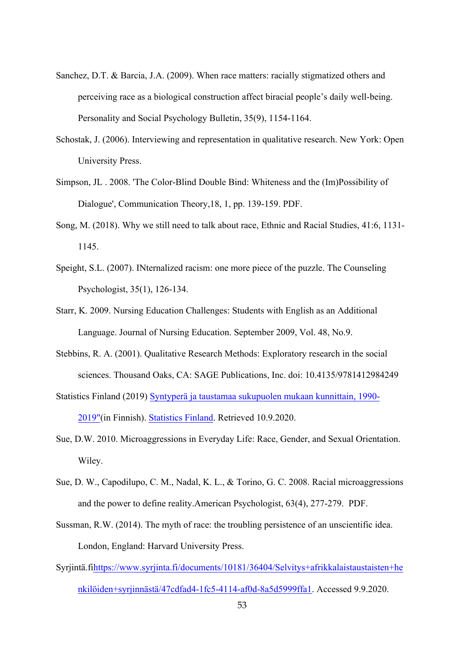- Sanchez, D.T. & Barcia, J.A. (2009). When race matters: racially stigmatized others and perceiving race as a biological construction affect biracial people's daily well-being. Personality and Social Psychology Bulletin, 35(9), 1154-1164.
- Schostak, J. (2006). Interviewing and representation in qualitative research. New York: Open University Press.
- Simpson, JL . 2008. 'The Color-Blind Double Bind: Whiteness and the (Im)Possibility of Dialogue', Communication Theory,18, 1, pp. 139-159. PDF.
- Song, M. (2018). Why we still need to talk about race, Ethnic and Racial Studies, 41:6, 1131- 1145.
- Speight, S.L. (2007). INternalized racism: one more piece of the puzzle. The Counseling Psychologist, 35(1), 126-134.
- Starr, K. 2009. Nursing Education Challenges: Students with English as an Additional Language. Journal of Nursing Education. September 2009, Vol. 48, No.9.
- Stebbins, R. A. (2001). Qualitative Research Methods: Exploratory research in the social sciences. Thousand Oaks, CA: SAGE Publications, Inc. doi: 10.4135/9781412984249

Statistics Finland (2019) Syntyperä ja taustamaa sukupuolen mukaan kunnittain, 1990- 2019"(in Finnish). Statistics Finland. Retrieved 10.9.2020.

- Sue, D.W. 2010. Microaggressions in Everyday Life: Race, Gender, and Sexual Orientation. Wiley.
- Sue, D. W., Capodilupo, C. M., Nadal, K. L., & Torino, G. C. 2008. Racial microaggressions and the power to define reality.American Psychologist, 63(4), 277-279. PDF.
- Sussman, R.W. (2014). The myth of race: the troubling persistence of an unscientific idea. London, England: Harvard University Press.
- Syrjintä.fihttps://www.syrjinta.fi/documents/10181/36404/Selvitys+afrikkalaistaustaisten+he nkilöiden+syrjinnästä/47cdfad4-1fc5-4114-af0d-8a5d5999ffa1. Accessed 9.9.2020.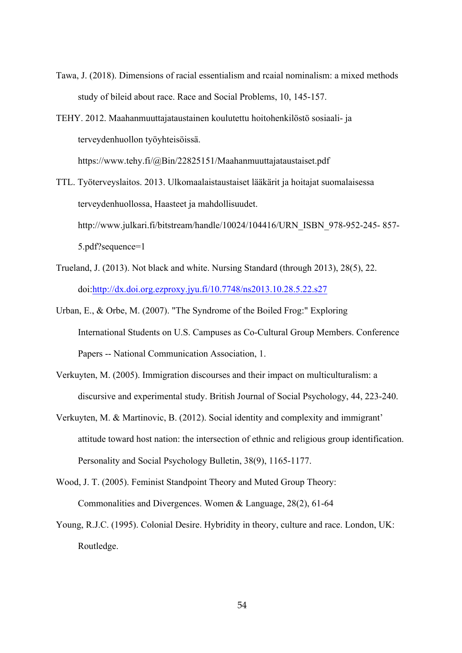- Tawa, J. (2018). Dimensions of racial essentialism and rcaial nominalism: a mixed methods study of bileid about race. Race and Social Problems, 10, 145-157.
- TEHY. 2012. Maahanmuuttajataustainen koulutettu hoitohenkilöstö sosiaali- ja terveydenhuollon työyhteisöissä. https://www.tehy.fi/@Bin/22825151/Maahanmuuttajataustaiset.pdf
- TTL. Työterveyslaitos. 2013. Ulkomaalaistaustaiset lääkärit ja hoitajat suomalaisessa terveydenhuollossa, Haasteet ja mahdollisuudet. http://www.julkari.fi/bitstream/handle/10024/104416/URN\_ISBN\_978-952-245- 857- 5.pdf?sequence=1
- Trueland, J. (2013). Not black and white. Nursing Standard (through 2013), 28(5), 22. doi:http://dx.doi.org.ezproxy.jyu.fi/10.7748/ns2013.10.28.5.22.s27
- Urban, E., & Orbe, M. (2007). "The Syndrome of the Boiled Frog:" Exploring International Students on U.S. Campuses as Co-Cultural Group Members. Conference Papers -- National Communication Association, 1.
- Verkuyten, M. (2005). Immigration discourses and their impact on multiculturalism: a discursive and experimental study. British Journal of Social Psychology, 44, 223-240.
- Verkuyten, M. & Martinovic, B. (2012). Social identity and complexity and immigrant' attitude toward host nation: the intersection of ethnic and religious group identification. Personality and Social Psychology Bulletin, 38(9), 1165-1177.
- Wood, J. T. (2005). Feminist Standpoint Theory and Muted Group Theory: Commonalities and Divergences. Women & Language, 28(2), 61-64
- Young, R.J.C. (1995). Colonial Desire. Hybridity in theory, culture and race. London, UK: Routledge.